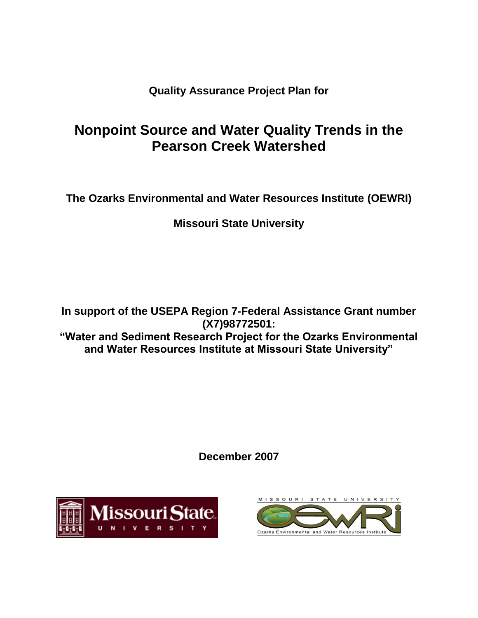**Quality Assurance Project Plan for**

# **Nonpoint Source and Water Quality Trends in the Pearson Creek Watershed**

**The Ozarks Environmental and Water Resources Institute (OEWRI)**

**Missouri State University**

**In support of the USEPA Region 7-Federal Assistance Grant number (X7)98772501: "Water and Sediment Research Project for the Ozarks Environmental and Water Resources Institute at Missouri State University"**

**December 2007**



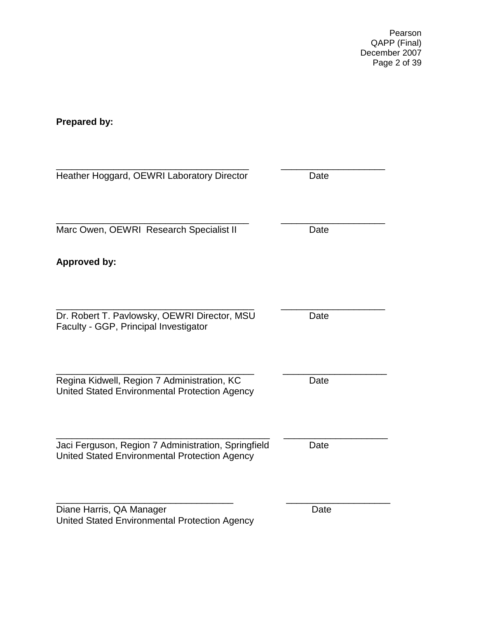Pearson QAPP (Final) December 2007 Page 2 of 39

# <span id="page-1-0"></span>**Prepared by:**

<span id="page-1-1"></span>

| Heather Hoggard, OEWRI Laboratory Director                                                           | Date |
|------------------------------------------------------------------------------------------------------|------|
| Marc Owen, OEWRI Research Specialist II                                                              | Date |
| <b>Approved by:</b>                                                                                  |      |
| Dr. Robert T. Pavlowsky, OEWRI Director, MSU<br>Faculty - GGP, Principal Investigator                | Date |
| Regina Kidwell, Region 7 Administration, KC<br>United Stated Environmental Protection Agency         | Date |
| Jaci Ferguson, Region 7 Administration, Springfield<br>United Stated Environmental Protection Agency | Date |
| Diane Harris, QA Manager<br>United Stated Environmental Protection Agency                            | Date |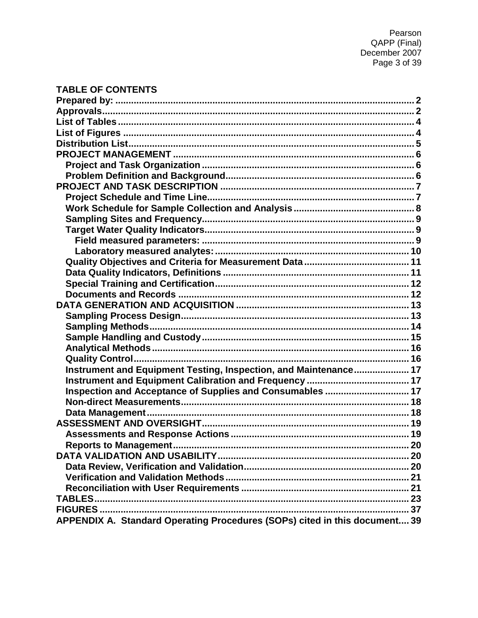# **TABLE OF CONTENTS**

| Instrument and Equipment Testing, Inspection, and Maintenance 17           |  |
|----------------------------------------------------------------------------|--|
|                                                                            |  |
| Inspection and Acceptance of Supplies and Consumables  17                  |  |
|                                                                            |  |
|                                                                            |  |
|                                                                            |  |
|                                                                            |  |
|                                                                            |  |
|                                                                            |  |
|                                                                            |  |
|                                                                            |  |
|                                                                            |  |
|                                                                            |  |
|                                                                            |  |
| APPENDIX A. Standard Operating Procedures (SOPs) cited in this document 39 |  |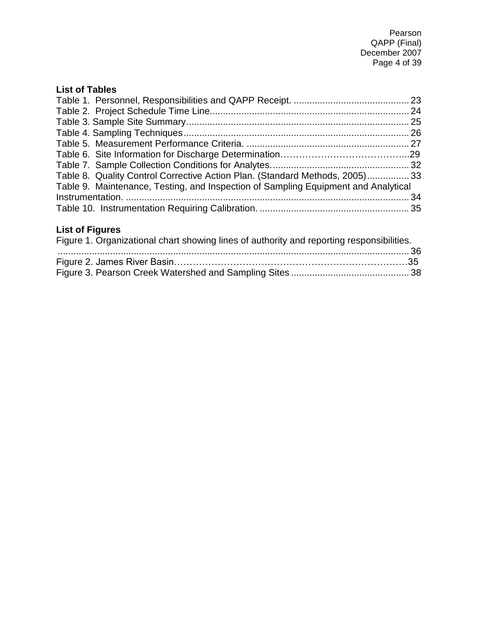# <span id="page-3-0"></span>**List of Tables**

| Table 8. Quality Control Corrective Action Plan. (Standard Methods, 2005) 33       |  |
|------------------------------------------------------------------------------------|--|
| Table 9. Maintenance, Testing, and Inspection of Sampling Equipment and Analytical |  |
|                                                                                    |  |
|                                                                                    |  |

# <span id="page-3-1"></span>**List of Figures**

| Figure 1. Organizational chart showing lines of authority and reporting responsibilities. |  |
|-------------------------------------------------------------------------------------------|--|
|                                                                                           |  |
|                                                                                           |  |
|                                                                                           |  |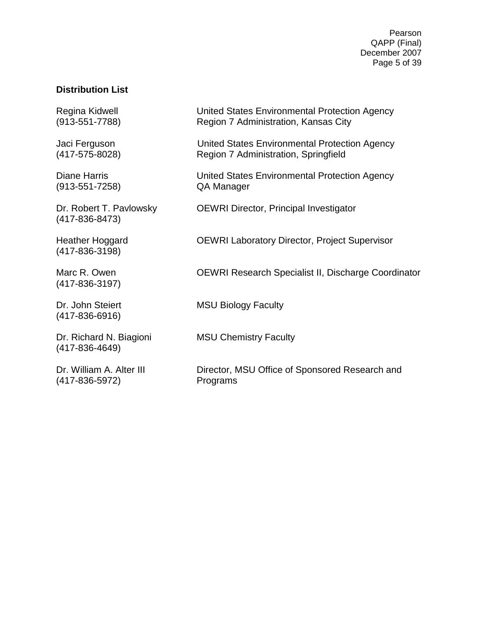Pearson QAPP (Final) December 2007 Page 5 of 39

### <span id="page-4-0"></span>**Distribution List**

Regina Kidwell **Netwitted States Environmental Protection Agency** (913-551-7788) Region 7 Administration, Kansas City Jaci Ferguson United States Environmental Protection Agency (417-575-8028) Region 7 Administration, Springfield Diane Harris United States Environmental Protection Agency (913-551-7258) QA Manager Dr. Robert T. Pavlowsky **OEWRI Director, Principal Investigator** (417-836-8473) Heather Hoggard OEWRI Laboratory Director, Project Supervisor (417-836-3198) Marc R. Owen **OEWRI Research Specialist II, Discharge Coordinator** (417-836-3197) Dr. John Steiert MSU Biology Faculty (417-836-6916) Dr. Richard N. Biagioni MSU Chemistry Faculty (417-836-4649) Dr. William A. Alter III Director, MSU Office of Sponsored Research and (417-836-5972) Programs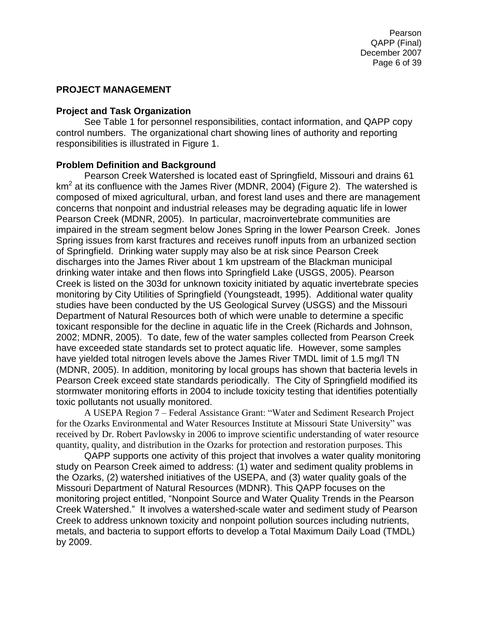# <span id="page-5-0"></span>**PROJECT MANAGEMENT**

### <span id="page-5-1"></span>**Project and Task Organization**

See Table 1 for personnel responsibilities, contact information, and QAPP copy control numbers. The organizational chart showing lines of authority and reporting responsibilities is illustrated in Figure 1.

# <span id="page-5-2"></span>**Problem Definition and Background**

Pearson Creek Watershed is located east of Springfield, Missouri and drains 61 km<sup>2</sup> at its confluence with the James River (MDNR, 2004) (Figure 2). The watershed is composed of mixed agricultural, urban, and forest land uses and there are management concerns that nonpoint and industrial releases may be degrading aquatic life in lower Pearson Creek (MDNR, 2005). In particular, macroinvertebrate communities are impaired in the stream segment below Jones Spring in the lower Pearson Creek. Jones Spring issues from karst fractures and receives runoff inputs from an urbanized section of Springfield. Drinking water supply may also be at risk since Pearson Creek discharges into the James River about 1 km upstream of the Blackman municipal drinking water intake and then flows into Springfield Lake (USGS, 2005). Pearson Creek is listed on the 303d for unknown toxicity initiated by aquatic invertebrate species monitoring by City Utilities of Springfield (Youngsteadt, 1995). Additional water quality studies have been conducted by the US Geological Survey (USGS) and the Missouri Department of Natural Resources both of which were unable to determine a specific toxicant responsible for the decline in aquatic life in the Creek (Richards and Johnson, 2002; MDNR, 2005). To date, few of the water samples collected from Pearson Creek have exceeded state standards set to protect aquatic life. However, some samples have yielded total nitrogen levels above the James River TMDL limit of 1.5 mg/l TN (MDNR, 2005). In addition, monitoring by local groups has shown that bacteria levels in Pearson Creek exceed state standards periodically. The City of Springfield modified its stormwater monitoring efforts in 2004 to include toxicity testing that identifies potentially toxic pollutants not usually monitored.

A USEPA Region 7 – Federal Assistance Grant: "Water and Sediment Research Project for the Ozarks Environmental and Water Resources Institute at Missouri State University" was received by Dr. Robert Pavlowsky in 2006 to improve scientific understanding of water resource quantity, quality, and distribution in the Ozarks for protection and restoration purposes. This

QAPP supports one activity of this project that involves a water quality monitoring study on Pearson Creek aimed to address: (1) water and sediment quality problems in the Ozarks, (2) watershed initiatives of the USEPA, and (3) water quality goals of the Missouri Department of Natural Resources (MDNR). This QAPP focuses on the monitoring project entitled, "Nonpoint Source and Water Quality Trends in the Pearson Creek Watershed." It involves a watershed-scale water and sediment study of Pearson Creek to address unknown toxicity and nonpoint pollution sources including nutrients, metals, and bacteria to support efforts to develop a Total Maximum Daily Load (TMDL) by 2009.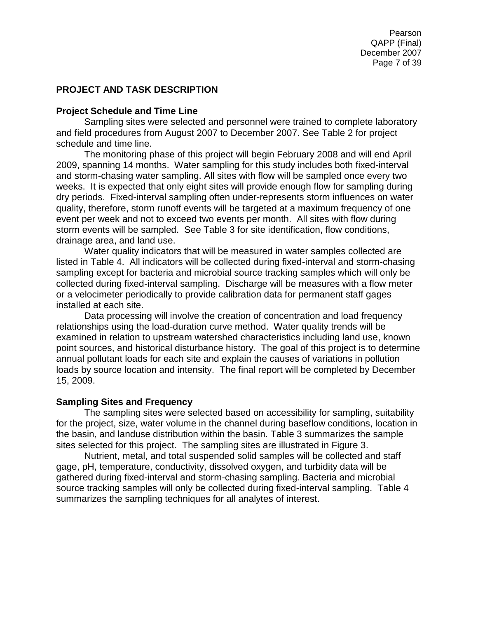Pearson QAPP (Final) December 2007 Page 7 of 39

### <span id="page-6-0"></span>**PROJECT AND TASK DESCRIPTION**

#### <span id="page-6-1"></span>**Project Schedule and Time Line**

Sampling sites were selected and personnel were trained to complete laboratory and field procedures from August 2007 to December 2007. See Table 2 for project schedule and time line.

The monitoring phase of this project will begin February 2008 and will end April 2009, spanning 14 months. Water sampling for this study includes both fixed-interval and storm-chasing water sampling. All sites with flow will be sampled once every two weeks. It is expected that only eight sites will provide enough flow for sampling during dry periods. Fixed-interval sampling often under-represents storm influences on water quality, therefore, storm runoff events will be targeted at a maximum frequency of one event per week and not to exceed two events per month. All sites with flow during storm events will be sampled. See Table 3 for site identification, flow conditions, drainage area, and land use.

Water quality indicators that will be measured in water samples collected are listed in Table 4. All indicators will be collected during fixed-interval and storm-chasing sampling except for bacteria and microbial source tracking samples which will only be collected during fixed-interval sampling. Discharge will be measures with a flow meter or a velocimeter periodically to provide calibration data for permanent staff gages installed at each site.

Data processing will involve the creation of concentration and load frequency relationships using the load-duration curve method. Water quality trends will be examined in relation to upstream watershed characteristics including land use, known point sources, and historical disturbance history. The goal of this project is to determine annual pollutant loads for each site and explain the causes of variations in pollution loads by source location and intensity. The final report will be completed by December 15, 2009.

#### **Sampling Sites and Frequency**

The sampling sites were selected based on accessibility for sampling, suitability for the project, size, water volume in the channel during baseflow conditions, location in the basin, and landuse distribution within the basin. Table 3 summarizes the sample sites selected for this project. The sampling sites are illustrated in Figure 3.

Nutrient, metal, and total suspended solid samples will be collected and staff gage, pH, temperature, conductivity, dissolved oxygen, and turbidity data will be gathered during fixed-interval and storm-chasing sampling. Bacteria and microbial source tracking samples will only be collected during fixed-interval sampling. Table 4 summarizes the sampling techniques for all analytes of interest.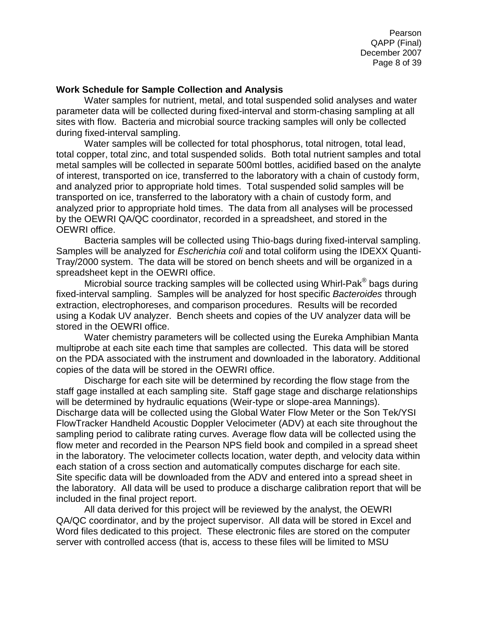Pearson QAPP (Final) December 2007 Page 8 of 39

#### <span id="page-7-0"></span>**Work Schedule for Sample Collection and Analysis**

Water samples for nutrient, metal, and total suspended solid analyses and water parameter data will be collected during fixed-interval and storm-chasing sampling at all sites with flow. Bacteria and microbial source tracking samples will only be collected during fixed-interval sampling.

Water samples will be collected for total phosphorus, total nitrogen, total lead, total copper, total zinc, and total suspended solids. Both total nutrient samples and total metal samples will be collected in separate 500ml bottles, acidified based on the analyte of interest, transported on ice, transferred to the laboratory with a chain of custody form, and analyzed prior to appropriate hold times. Total suspended solid samples will be transported on ice, transferred to the laboratory with a chain of custody form, and analyzed prior to appropriate hold times. The data from all analyses will be processed by the OEWRI QA/QC coordinator, recorded in a spreadsheet, and stored in the OEWRI office.

Bacteria samples will be collected using Thio-bags during fixed-interval sampling. Samples will be analyzed for *Escherichia coli* and total coliform using the IDEXX Quanti-Tray/2000 system. The data will be stored on bench sheets and will be organized in a spreadsheet kept in the OEWRI office.

Microbial source tracking samples will be collected using Whirl-Pak® bags during fixed-interval sampling. Samples will be analyzed for host specific *Bacteroides* through extraction, electrophoreses, and comparison procedures. Results will be recorded using a Kodak UV analyzer. Bench sheets and copies of the UV analyzer data will be stored in the OEWRI office.

Water chemistry parameters will be collected using the Eureka Amphibian Manta multiprobe at each site each time that samples are collected. This data will be stored on the PDA associated with the instrument and downloaded in the laboratory. Additional copies of the data will be stored in the OEWRI office.

Discharge for each site will be determined by recording the flow stage from the staff gage installed at each sampling site. Staff gage stage and discharge relationships will be determined by hydraulic equations (Weir-type or slope-area Mannings). Discharge data will be collected using the Global Water Flow Meter or the Son Tek/YSI FlowTracker Handheld Acoustic Doppler Velocimeter (ADV) at each site throughout the sampling period to calibrate rating curves. Average flow data will be collected using the flow meter and recorded in the Pearson NPS field book and compiled in a spread sheet in the laboratory. The velocimeter collects location, water depth, and velocity data within each station of a cross section and automatically computes discharge for each site. Site specific data will be downloaded from the ADV and entered into a spread sheet in the laboratory. All data will be used to produce a discharge calibration report that will be included in the final project report.

All data derived for this project will be reviewed by the analyst, the OEWRI QA/QC coordinator, and by the project supervisor. All data will be stored in Excel and Word files dedicated to this project. These electronic files are stored on the computer server with controlled access (that is, access to these files will be limited to MSU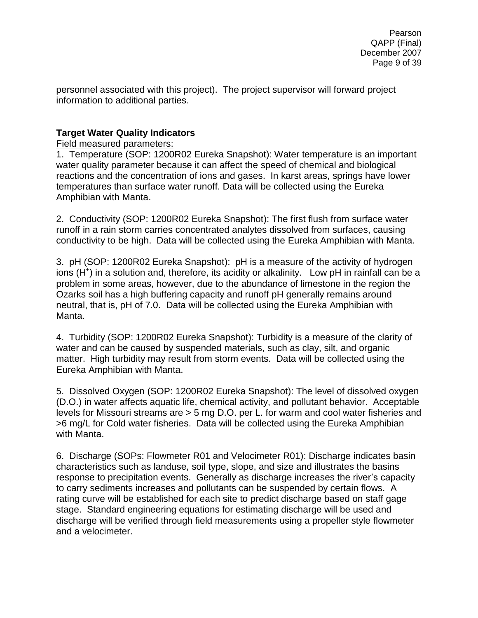personnel associated with this project). The project supervisor will forward project information to additional parties.

# <span id="page-8-1"></span><span id="page-8-0"></span>**Target Water Quality Indicators**

<span id="page-8-2"></span>Field measured parameters:

1. Temperature (SOP: 1200R02 Eureka Snapshot): Water temperature is an important water quality parameter because it can affect the speed of chemical and biological reactions and the concentration of ions and gases. In karst areas, springs have lower temperatures than surface water runoff. Data will be collected using the Eureka Amphibian with Manta.

2. Conductivity (SOP: 1200R02 Eureka Snapshot): The first flush from surface water runoff in a rain storm carries concentrated analytes dissolved from surfaces, causing conductivity to be high. Data will be collected using the Eureka Amphibian with Manta.

3. pH (SOP: 1200R02 Eureka Snapshot): pH is a measure of the [activity](http://en.wikipedia.org/wiki/Activity_%28chemistry%29) of [hydrogen](http://en.wikipedia.org/wiki/Hydrogen) [ions](http://en.wikipedia.org/wiki/Ion) [\(H](http://en.wikipedia.org/wiki/Hydronium)<sup>+</sup>) in a [solution](http://en.wikipedia.org/wiki/Solution) and, therefore, its [acidity](http://en.wikipedia.org/wiki/Acid) or [alkalinity.](http://en.wikipedia.org/wiki/Base_%28chemistry%29) Low pH in rainfall can be a problem in some areas, however, due to the abundance of limestone in the region the Ozarks soil has a high buffering capacity and runoff pH generally remains around neutral, that is, pH of 7.0. Data will be collected using the Eureka Amphibian with Manta.

4. Turbidity (SOP: 1200R02 Eureka Snapshot): Turbidity is a measure of the clarity of water and can be caused by suspended materials, such as clay, silt, and organic matter. High turbidity may result from storm events. Data will be collected using the Eureka Amphibian with Manta.

5. Dissolved Oxygen (SOP: 1200R02 Eureka Snapshot): The level of dissolved oxygen (D.O.) in water affects aquatic life, chemical activity, and pollutant behavior. Acceptable levels for Missouri streams are > 5 mg D.O. per L. for warm and cool water fisheries and >6 mg/L for Cold water fisheries. Data will be collected using the Eureka Amphibian with Manta.

6. Discharge (SOPs: Flowmeter R01 and Velocimeter R01): Discharge indicates basin characteristics such as landuse, soil type, slope, and size and illustrates the basins response to precipitation events. Generally as discharge increases the river's capacity to carry sediments increases and pollutants can be suspended by certain flows. A rating curve will be established for each site to predict discharge based on staff gage stage. Standard engineering equations for estimating discharge will be used and discharge will be verified through field measurements using a propeller style flowmeter and a velocimeter.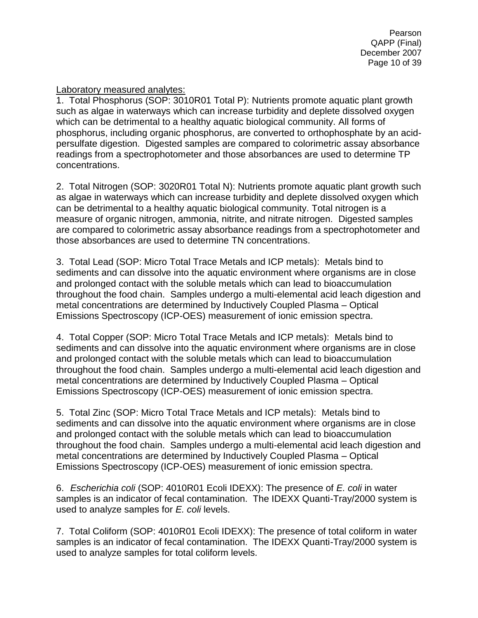Pearson QAPP (Final) December 2007 Page 10 of 39

<span id="page-9-0"></span>Laboratory measured analytes:

1. Total Phosphorus (SOP: 3010R01 Total P): Nutrients promote aquatic plant growth such as algae in waterways which can increase turbidity and deplete dissolved oxygen which can be detrimental to a healthy aquatic biological community. All forms of phosphorus, including organic phosphorus, are converted to orthophosphate by an acidpersulfate digestion. Digested samples are compared to colorimetric assay absorbance readings from a spectrophotometer and those absorbances are used to determine TP concentrations.

2. Total Nitrogen (SOP: 3020R01 Total N): Nutrients promote aquatic plant growth such as algae in waterways which can increase turbidity and deplete dissolved oxygen which can be detrimental to a healthy aquatic biological community. Total nitrogen is a measure of organic nitrogen, ammonia, nitrite, and nitrate nitrogen. Digested samples are compared to colorimetric assay absorbance readings from a spectrophotometer and those absorbances are used to determine TN concentrations.

3. Total Lead (SOP: Micro Total Trace Metals and ICP metals): Metals bind to sediments and can dissolve into the aquatic environment where organisms are in close and prolonged contact with the soluble metals which can lead to bioaccumulation throughout the food chain. Samples undergo a multi-elemental acid leach digestion and metal concentrations are determined by Inductively Coupled Plasma – Optical Emissions Spectroscopy (ICP-OES) measurement of ionic emission spectra.

4. Total Copper (SOP: Micro Total Trace Metals and ICP metals): Metals bind to sediments and can dissolve into the aquatic environment where organisms are in close and prolonged contact with the soluble metals which can lead to bioaccumulation throughout the food chain. Samples undergo a multi-elemental acid leach digestion and metal concentrations are determined by Inductively Coupled Plasma – Optical Emissions Spectroscopy (ICP-OES) measurement of ionic emission spectra.

5. Total Zinc (SOP: Micro Total Trace Metals and ICP metals): Metals bind to sediments and can dissolve into the aquatic environment where organisms are in close and prolonged contact with the soluble metals which can lead to bioaccumulation throughout the food chain. Samples undergo a multi-elemental acid leach digestion and metal concentrations are determined by Inductively Coupled Plasma – Optical Emissions Spectroscopy (ICP-OES) measurement of ionic emission spectra.

6. *Escherichia coli* (SOP: 4010R01 Ecoli IDEXX): The presence of *E. coli* in water samples is an indicator of fecal contamination. The IDEXX Quanti-Tray/2000 system is used to analyze samples for *E. coli* levels.

7. Total Coliform (SOP: 4010R01 Ecoli IDEXX): The presence of total coliform in water samples is an indicator of fecal contamination. The IDEXX Quanti-Tray/2000 system is used to analyze samples for total coliform levels.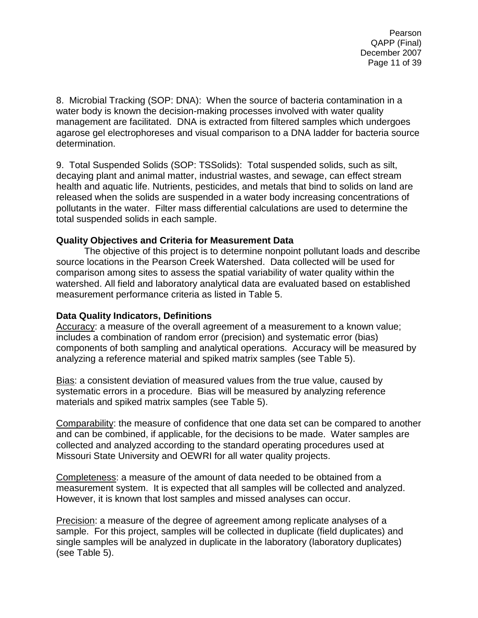Pearson QAPP (Final) December 2007 Page 11 of 39

8. Microbial Tracking (SOP: DNA): When the source of bacteria contamination in a water body is known the decision-making processes involved with water quality management are facilitated. DNA is extracted from filtered samples which undergoes agarose gel electrophoreses and visual comparison to a DNA ladder for bacteria source determination.

9. Total Suspended Solids (SOP: TSSolids): Total suspended solids, such as silt, decaying plant and animal matter, industrial wastes, and sewage, can effect stream health and aquatic life. Nutrients, pesticides, and metals that bind to solids on land are released when the solids are suspended in a water body increasing concentrations of pollutants in the water. Filter mass differential calculations are used to determine the total suspended solids in each sample.

#### <span id="page-10-0"></span>**Quality Objectives and Criteria for Measurement Data**

The objective of this project is to determine nonpoint pollutant loads and describe source locations in the Pearson Creek Watershed. Data collected will be used for comparison among sites to assess the spatial variability of water quality within the watershed. All field and laboratory analytical data are evaluated based on established measurement performance criteria as listed in Table 5.

#### <span id="page-10-1"></span>**Data Quality Indicators, Definitions**

Accuracy: a measure of the overall agreement of a measurement to a known value; includes a combination of random error (precision) and systematic error (bias) components of both sampling and analytical operations. Accuracy will be measured by analyzing a reference material and spiked matrix samples (see Table 5).

Bias: a consistent deviation of measured values from the true value, caused by systematic errors in a procedure. Bias will be measured by analyzing reference materials and spiked matrix samples (see Table 5).

Comparability: the measure of confidence that one data set can be compared to another and can be combined, if applicable, for the decisions to be made. Water samples are collected and analyzed according to the standard operating procedures used at Missouri State University and OEWRI for all water quality projects.

Completeness: a measure of the amount of data needed to be obtained from a measurement system. It is expected that all samples will be collected and analyzed. However, it is known that lost samples and missed analyses can occur.

Precision: a measure of the degree of agreement among replicate analyses of a sample. For this project, samples will be collected in duplicate (field duplicates) and single samples will be analyzed in duplicate in the laboratory (laboratory duplicates) (see Table 5).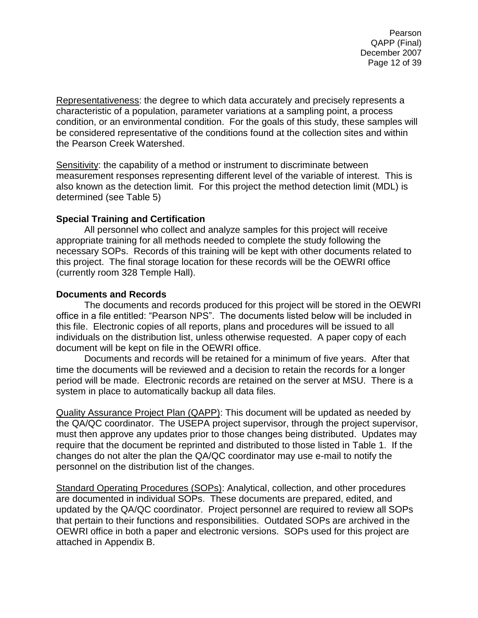Pearson QAPP (Final) December 2007 Page 12 of 39

Representativeness: the degree to which data accurately and precisely represents a characteristic of a population, parameter variations at a sampling point, a process condition, or an environmental condition. For the goals of this study, these samples will be considered representative of the conditions found at the collection sites and within the Pearson Creek Watershed.

Sensitivity: the capability of a method or instrument to discriminate between measurement responses representing different level of the variable of interest. This is also known as the detection limit. For this project the method detection limit (MDL) is determined (see Table 5)

#### <span id="page-11-0"></span>**Special Training and Certification**

All personnel who collect and analyze samples for this project will receive appropriate training for all methods needed to complete the study following the necessary SOPs. Records of this training will be kept with other documents related to this project. The final storage location for these records will be the OEWRI office (currently room 328 Temple Hall).

#### <span id="page-11-1"></span>**Documents and Records**

The documents and records produced for this project will be stored in the OEWRI office in a file entitled: "Pearson NPS". The documents listed below will be included in this file. Electronic copies of all reports, plans and procedures will be issued to all individuals on the distribution list, unless otherwise requested. A paper copy of each document will be kept on file in the OEWRI office.

Documents and records will be retained for a minimum of five years. After that time the documents will be reviewed and a decision to retain the records for a longer period will be made. Electronic records are retained on the server at MSU. There is a system in place to automatically backup all data files.

Quality Assurance Project Plan (QAPP): This document will be updated as needed by the QA/QC coordinator. The USEPA project supervisor, through the project supervisor, must then approve any updates prior to those changes being distributed. Updates may require that the document be reprinted and distributed to those listed in [Table 1.](#page-22-1) If the changes do not alter the plan the QA/QC coordinator may use e-mail to notify the personnel on the distribution list of the changes.

Standard Operating Procedures (SOPs): Analytical, collection, and other procedures are documented in individual SOPs. These documents are prepared, edited, and updated by the QA/QC coordinator. Project personnel are required to review all SOPs that pertain to their functions and responsibilities. Outdated SOPs are archived in the OEWRI office in both a paper and electronic versions. SOPs used for this project are attached in Appendix B.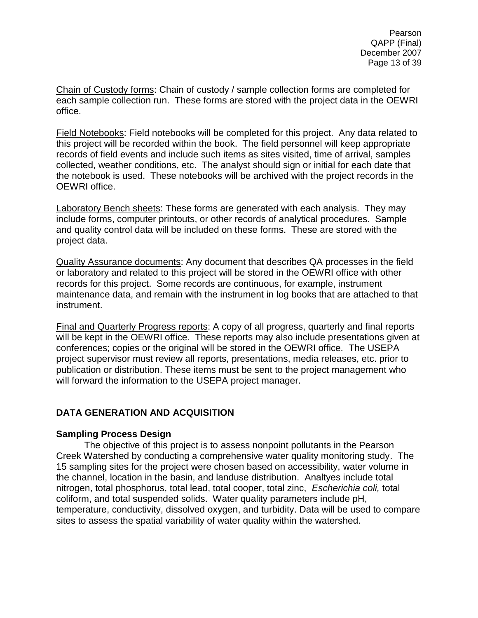Chain of Custody forms: Chain of custody / sample collection forms are completed for each sample collection run. These forms are stored with the project data in the OEWRI office.

Field Notebooks: Field notebooks will be completed for this project. Any data related to this project will be recorded within the book. The field personnel will keep appropriate records of field events and include such items as sites visited, time of arrival, samples collected, weather conditions, etc. The analyst should sign or initial for each date that the notebook is used. These notebooks will be archived with the project records in the OEWRI office.

Laboratory Bench sheets: These forms are generated with each analysis. They may include forms, computer printouts, or other records of analytical procedures. Sample and quality control data will be included on these forms. These are stored with the project data.

Quality Assurance documents: Any document that describes QA processes in the field or laboratory and related to this project will be stored in the OEWRI office with other records for this project. Some records are continuous, for example, instrument maintenance data, and remain with the instrument in log books that are attached to that instrument.

Final and Quarterly Progress reports: A copy of all progress, quarterly and final reports will be kept in the OEWRI office. These reports may also include presentations given at conferences; copies or the original will be stored in the OEWRI office. The USEPA project supervisor must review all reports, presentations, media releases, etc. prior to publication or distribution. These items must be sent to the project management who will forward the information to the USEPA project manager.

# <span id="page-12-0"></span>**DATA GENERATION AND ACQUISITION**

# <span id="page-12-1"></span>**Sampling Process Design**

The objective of this project is to assess nonpoint pollutants in the Pearson Creek Watershed by conducting a comprehensive water quality monitoring study. The 15 sampling sites for the project were chosen based on accessibility, water volume in the channel, location in the basin, and landuse distribution. Analtyes include total nitrogen, total phosphorus, total lead, total cooper, total zinc, *Escherichia coli,* total coliform, and total suspended solids. Water quality parameters include pH, temperature, conductivity, dissolved oxygen, and turbidity. Data will be used to compare sites to assess the spatial variability of water quality within the watershed.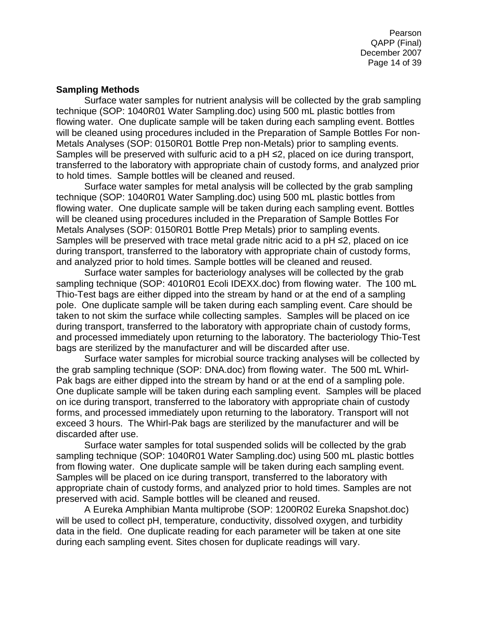Pearson QAPP (Final) December 2007 Page 14 of 39

#### <span id="page-13-0"></span>**Sampling Methods**

Surface water samples for nutrient analysis will be collected by the grab sampling technique (SOP: 1040R01 Water Sampling.doc) using 500 mL plastic bottles from flowing water. One duplicate sample will be taken during each sampling event. Bottles will be cleaned using procedures included in the Preparation of Sample Bottles For non-Metals Analyses (SOP: 0150R01 Bottle Prep non-Metals) prior to sampling events. Samples will be preserved with sulfuric acid to a pH ≤2, placed on ice during transport, transferred to the laboratory with appropriate chain of custody forms, and analyzed prior to hold times. Sample bottles will be cleaned and reused.

Surface water samples for metal analysis will be collected by the grab sampling technique (SOP: 1040R01 Water Sampling.doc) using 500 mL plastic bottles from flowing water. One duplicate sample will be taken during each sampling event. Bottles will be cleaned using procedures included in the Preparation of Sample Bottles For Metals Analyses (SOP: 0150R01 Bottle Prep Metals) prior to sampling events. Samples will be preserved with trace metal grade nitric acid to a pH ≤2, placed on ice during transport, transferred to the laboratory with appropriate chain of custody forms, and analyzed prior to hold times. Sample bottles will be cleaned and reused.

Surface water samples for bacteriology analyses will be collected by the grab sampling technique (SOP: 4010R01 Ecoli IDEXX.doc) from flowing water. The 100 mL Thio-Test bags are either dipped into the stream by hand or at the end of a sampling pole. One duplicate sample will be taken during each sampling event. Care should be taken to not skim the surface while collecting samples. Samples will be placed on ice during transport, transferred to the laboratory with appropriate chain of custody forms, and processed immediately upon returning to the laboratory. The bacteriology Thio-Test bags are sterilized by the manufacturer and will be discarded after use.

Surface water samples for microbial source tracking analyses will be collected by the grab sampling technique (SOP: DNA.doc) from flowing water. The 500 mL Whirl-Pak bags are either dipped into the stream by hand or at the end of a sampling pole. One duplicate sample will be taken during each sampling event. Samples will be placed on ice during transport, transferred to the laboratory with appropriate chain of custody forms, and processed immediately upon returning to the laboratory. Transport will not exceed 3 hours. The Whirl-Pak bags are sterilized by the manufacturer and will be discarded after use.

Surface water samples for total suspended solids will be collected by the grab sampling technique (SOP: 1040R01 Water Sampling.doc) using 500 mL plastic bottles from flowing water. One duplicate sample will be taken during each sampling event. Samples will be placed on ice during transport, transferred to the laboratory with appropriate chain of custody forms, and analyzed prior to hold times. Samples are not preserved with acid. Sample bottles will be cleaned and reused.

A Eureka Amphibian Manta multiprobe (SOP: 1200R02 Eureka Snapshot.doc) will be used to collect pH, temperature, conductivity, dissolved oxygen, and turbidity data in the field. One duplicate reading for each parameter will be taken at one site during each sampling event. Sites chosen for duplicate readings will vary.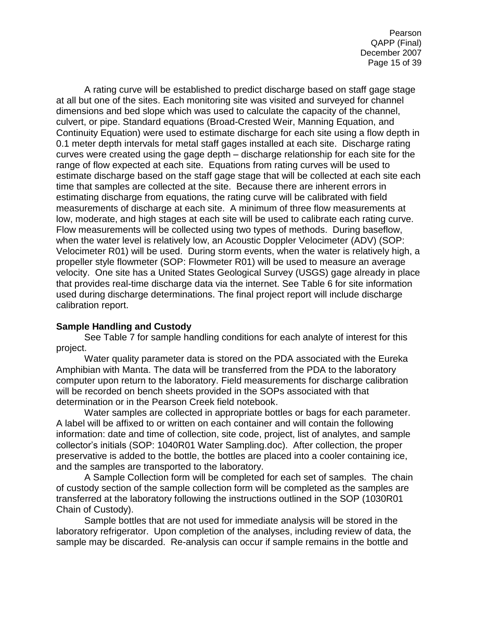A rating curve will be established to predict discharge based on staff gage stage at all but one of the sites. Each monitoring site was visited and surveyed for channel dimensions and bed slope which was used to calculate the capacity of the channel, culvert, or pipe. Standard equations (Broad-Crested Weir, Manning Equation, and Continuity Equation) were used to estimate discharge for each site using a flow depth in 0.1 meter depth intervals for metal staff gages installed at each site. Discharge rating curves were created using the gage depth – discharge relationship for each site for the range of flow expected at each site. Equations from rating curves will be used to estimate discharge based on the staff gage stage that will be collected at each site each time that samples are collected at the site. Because there are inherent errors in estimating discharge from equations, the rating curve will be calibrated with field measurements of discharge at each site. A minimum of three flow measurements at low, moderate, and high stages at each site will be used to calibrate each rating curve. Flow measurements will be collected using two types of methods. During baseflow, when the water level is relatively low, an Acoustic Doppler Velocimeter (ADV) (SOP: Velocimeter R01) will be used. During storm events, when the water is relatively high, a propeller style flowmeter (SOP: Flowmeter R01) will be used to measure an average velocity. One site has a United States Geological Survey (USGS) gage already in place that provides real-time discharge data via the internet. See Table 6 for site information used during discharge determinations. The final project report will include discharge calibration report.

# <span id="page-14-0"></span>**Sample Handling and Custody**

See Table 7 for sample handling conditions for each analyte of interest for this project.

Water quality parameter data is stored on the PDA associated with the Eureka Amphibian with Manta. The data will be transferred from the PDA to the laboratory computer upon return to the laboratory. Field measurements for discharge calibration will be recorded on bench sheets provided in the SOPs associated with that determination or in the Pearson Creek field notebook.

Water samples are collected in appropriate bottles or bags for each parameter. A label will be affixed to or written on each container and will contain the following information: date and time of collection, site code, project, list of analytes, and sample collector's initials (SOP: 1040R01 Water Sampling.doc). After collection, the proper preservative is added to the bottle, the bottles are placed into a cooler containing ice, and the samples are transported to the laboratory.

A Sample Collection form will be completed for each set of samples. The chain of custody section of the sample collection form will be completed as the samples are transferred at the laboratory following the instructions outlined in the SOP (1030R01 Chain of Custody).

Sample bottles that are not used for immediate analysis will be stored in the laboratory refrigerator. Upon completion of the analyses, including review of data, the sample may be discarded. Re-analysis can occur if sample remains in the bottle and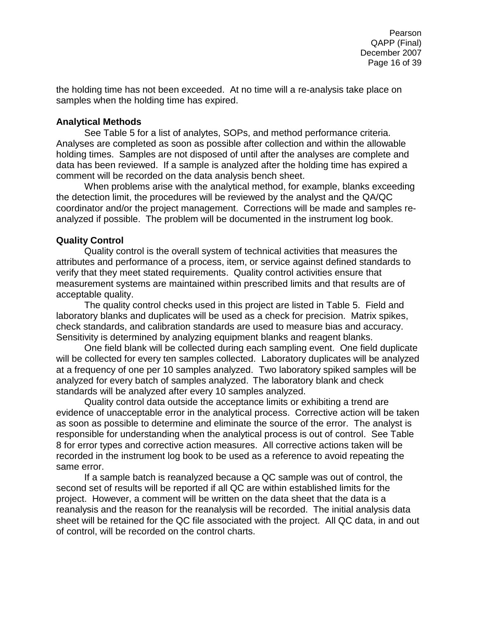the holding time has not been exceeded. At no time will a re-analysis take place on samples when the holding time has expired.

### <span id="page-15-0"></span>**Analytical Methods**

See Table 5 for a list of analytes, SOPs, and method performance criteria. Analyses are completed as soon as possible after collection and within the allowable holding times. Samples are not disposed of until after the analyses are complete and data has been reviewed. If a sample is analyzed after the holding time has expired a comment will be recorded on the data analysis bench sheet.

When problems arise with the analytical method, for example, blanks exceeding the detection limit, the procedures will be reviewed by the analyst and the QA/QC coordinator and/or the project management. Corrections will be made and samples reanalyzed if possible. The problem will be documented in the instrument log book.

# <span id="page-15-1"></span>**Quality Control**

Quality control is the overall system of technical activities that measures the attributes and performance of a process, item, or service against defined standards to verify that they meet stated requirements. Quality control activities ensure that measurement systems are maintained within prescribed limits and that results are of acceptable quality.

The quality control checks used in this project are listed in Table 5. Field and laboratory blanks and duplicates will be used as a check for precision. Matrix spikes, check standards, and calibration standards are used to measure bias and accuracy. Sensitivity is determined by analyzing equipment blanks and reagent blanks.

One field blank will be collected during each sampling event. One field duplicate will be collected for every ten samples collected. Laboratory duplicates will be analyzed at a frequency of one per 10 samples analyzed. Two laboratory spiked samples will be analyzed for every batch of samples analyzed. The laboratory blank and check standards will be analyzed after every 10 samples analyzed.

Quality control data outside the acceptance limits or exhibiting a trend are evidence of unacceptable error in the analytical process. Corrective action will be taken as soon as possible to determine and eliminate the source of the error. The analyst is responsible for understanding when the analytical process is out of control. See Table 8 for error types and corrective action measures. All corrective actions taken will be recorded in the instrument log book to be used as a reference to avoid repeating the same error.

If a sample batch is reanalyzed because a QC sample was out of control, the second set of results will be reported if all QC are within established limits for the project. However, a comment will be written on the data sheet that the data is a reanalysis and the reason for the reanalysis will be recorded. The initial analysis data sheet will be retained for the QC file associated with the project. All QC data, in and out of control, will be recorded on the control charts.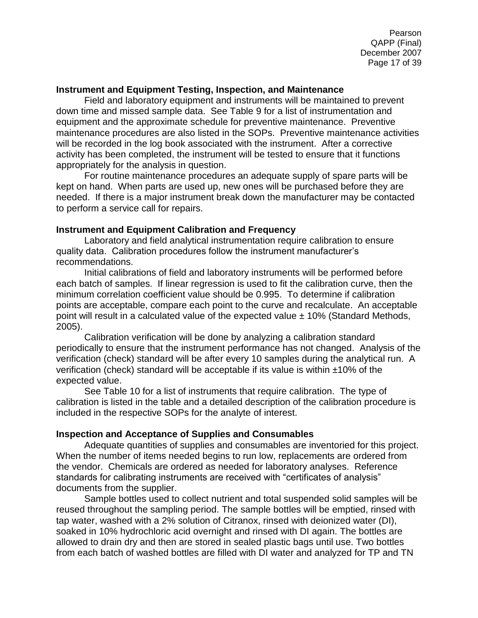Pearson QAPP (Final) December 2007 Page 17 of 39

#### <span id="page-16-0"></span>**Instrument and Equipment Testing, Inspection, and Maintenance**

Field and laboratory equipment and instruments will be maintained to prevent down time and missed sample data. See Table 9 for a list of instrumentation and equipment and the approximate schedule for preventive maintenance. Preventive maintenance procedures are also listed in the SOPs. Preventive maintenance activities will be recorded in the log book associated with the instrument. After a corrective activity has been completed, the instrument will be tested to ensure that it functions appropriately for the analysis in question.

For routine maintenance procedures an adequate supply of spare parts will be kept on hand. When parts are used up, new ones will be purchased before they are needed. If there is a major instrument break down the manufacturer may be contacted to perform a service call for repairs.

#### <span id="page-16-1"></span>**Instrument and Equipment Calibration and Frequency**

Laboratory and field analytical instrumentation require calibration to ensure quality data. Calibration procedures follow the instrument manufacturer's recommendations.

Initial calibrations of field and laboratory instruments will be performed before each batch of samples. If linear regression is used to fit the calibration curve, then the minimum correlation coefficient value should be 0.995. To determine if calibration points are acceptable, compare each point to the curve and recalculate. An acceptable point will result in a calculated value of the expected value  $\pm$  10% (Standard Methods, 2005).

Calibration verification will be done by analyzing a calibration standard periodically to ensure that the instrument performance has not changed. Analysis of the verification (check) standard will be after every 10 samples during the analytical run. A verification (check) standard will be acceptable if its value is within ±10% of the expected value.

See Table 10 for a list of instruments that require calibration. The type of calibration is listed in the table and a detailed description of the calibration procedure is included in the respective SOPs for the analyte of interest.

# <span id="page-16-2"></span>**Inspection and Acceptance of Supplies and Consumables**

Adequate quantities of supplies and consumables are inventoried for this project. When the number of items needed begins to run low, replacements are ordered from the vendor. Chemicals are ordered as needed for laboratory analyses. Reference standards for calibrating instruments are received with "certificates of analysis" documents from the supplier.

Sample bottles used to collect nutrient and total suspended solid samples will be reused throughout the sampling period. The sample bottles will be emptied, rinsed with tap water, washed with a 2% solution of Citranox, rinsed with deionized water (DI), soaked in 10% hydrochloric acid overnight and rinsed with DI again. The bottles are allowed to drain dry and then are stored in sealed plastic bags until use. Two bottles from each batch of washed bottles are filled with DI water and analyzed for TP and TN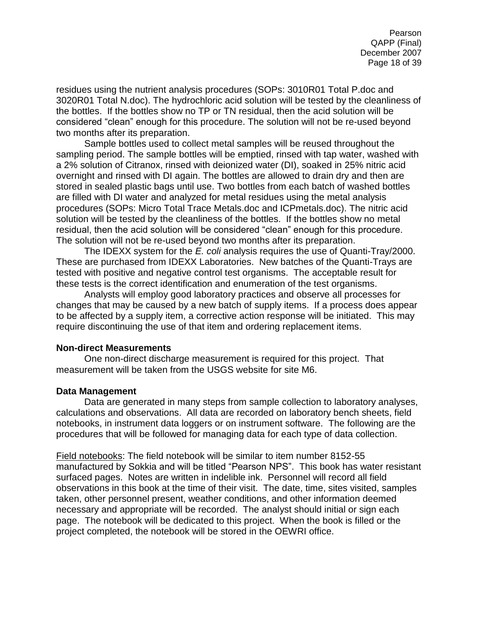residues using the nutrient analysis procedures (SOPs: 3010R01 Total P.doc and 3020R01 Total N.doc). The hydrochloric acid solution will be tested by the cleanliness of the bottles. If the bottles show no TP or TN residual, then the acid solution will be considered "clean" enough for this procedure. The solution will not be re-used beyond two months after its preparation.

Sample bottles used to collect metal samples will be reused throughout the sampling period. The sample bottles will be emptied, rinsed with tap water, washed with a 2% solution of Citranox, rinsed with deionized water (DI), soaked in 25% nitric acid overnight and rinsed with DI again. The bottles are allowed to drain dry and then are stored in sealed plastic bags until use. Two bottles from each batch of washed bottles are filled with DI water and analyzed for metal residues using the metal analysis procedures (SOPs: Micro Total Trace Metals.doc and ICPmetals.doc). The nitric acid solution will be tested by the cleanliness of the bottles. If the bottles show no metal residual, then the acid solution will be considered "clean" enough for this procedure. The solution will not be re-used beyond two months after its preparation.

The IDEXX system for the *E. coli* analysis requires the use of Quanti-Tray/2000. These are purchased from IDEXX Laboratories. New batches of the Quanti-Trays are tested with positive and negative control test organisms. The acceptable result for these tests is the correct identification and enumeration of the test organisms.

Analysts will employ good laboratory practices and observe all processes for changes that may be caused by a new batch of supply items. If a process does appear to be affected by a supply item, a corrective action response will be initiated. This may require discontinuing the use of that item and ordering replacement items.

#### <span id="page-17-0"></span>**Non-direct Measurements**

One non-direct discharge measurement is required for this project. That measurement will be taken from the USGS website for site M6.

#### <span id="page-17-1"></span>**Data Management**

Data are generated in many steps from sample collection to laboratory analyses, calculations and observations. All data are recorded on laboratory bench sheets, field notebooks, in instrument data loggers or on instrument software. The following are the procedures that will be followed for managing data for each type of data collection.

Field notebooks: The field notebook will be similar to item number 8152-55 manufactured by Sokkia and will be titled "Pearson NPS". This book has water resistant surfaced pages. Notes are written in indelible ink. Personnel will record all field observations in this book at the time of their visit. The date, time, sites visited, samples taken, other personnel present, weather conditions, and other information deemed necessary and appropriate will be recorded. The analyst should initial or sign each page. The notebook will be dedicated to this project. When the book is filled or the project completed, the notebook will be stored in the OEWRI office.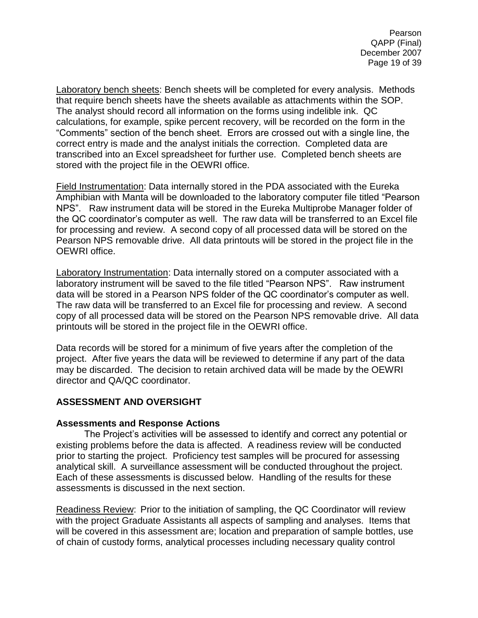Pearson QAPP (Final) December 2007 Page 19 of 39

Laboratory bench sheets: Bench sheets will be completed for every analysis. Methods that require bench sheets have the sheets available as attachments within the SOP. The analyst should record all information on the forms using indelible ink. QC calculations, for example, spike percent recovery, will be recorded on the form in the "Comments" section of the bench sheet. Errors are crossed out with a single line, the correct entry is made and the analyst initials the correction. Completed data are transcribed into an Excel spreadsheet for further use. Completed bench sheets are stored with the project file in the OEWRI office.

Field Instrumentation: Data internally stored in the PDA associated with the Eureka Amphibian with Manta will be downloaded to the laboratory computer file titled "Pearson NPS". Raw instrument data will be stored in the Eureka Multiprobe Manager folder of the QC coordinator's computer as well. The raw data will be transferred to an Excel file for processing and review. A second copy of all processed data will be stored on the Pearson NPS removable drive. All data printouts will be stored in the project file in the OEWRI office.

Laboratory Instrumentation: Data internally stored on a computer associated with a laboratory instrument will be saved to the file titled "Pearson NPS". Raw instrument data will be stored in a Pearson NPS folder of the QC coordinator's computer as well. The raw data will be transferred to an Excel file for processing and review. A second copy of all processed data will be stored on the Pearson NPS removable drive. All data printouts will be stored in the project file in the OEWRI office.

Data records will be stored for a minimum of five years after the completion of the project. After five years the data will be reviewed to determine if any part of the data may be discarded. The decision to retain archived data will be made by the OEWRI director and QA/QC coordinator.

# <span id="page-18-0"></span>**ASSESSMENT AND OVERSIGHT**

# <span id="page-18-1"></span>**Assessments and Response Actions**

The Project's activities will be assessed to identify and correct any potential or existing problems before the data is affected. A readiness review will be conducted prior to starting the project. Proficiency test samples will be procured for assessing analytical skill. A surveillance assessment will be conducted throughout the project. Each of these assessments is discussed below. Handling of the results for these assessments is discussed in the next section.

Readiness Review: Prior to the initiation of sampling, the QC Coordinator will review with the project Graduate Assistants all aspects of sampling and analyses. Items that will be covered in this assessment are; location and preparation of sample bottles, use of chain of custody forms, analytical processes including necessary quality control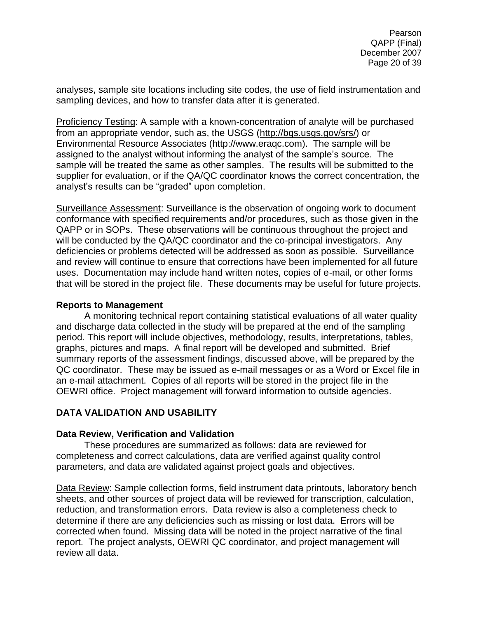analyses, sample site locations including site codes, the use of field instrumentation and sampling devices, and how to transfer data after it is generated.

Proficiency Testing: A sample with a known-concentration of analyte will be purchased from an appropriate vendor, such as, the USGS [\(http://bqs.usgs.gov/srs/\)](http://bqs.usgs.gov/srs/) or Environmental Resource Associates (http://www.eraqc.com). The sample will be assigned to the analyst without informing the analyst of the sample's source. The sample will be treated the same as other samples. The results will be submitted to the supplier for evaluation, or if the QA/QC coordinator knows the correct concentration, the analyst's results can be "graded" upon completion.

Surveillance Assessment: Surveillance is the observation of ongoing work to document conformance with specified requirements and/or procedures, such as those given in the QAPP or in SOPs. These observations will be continuous throughout the project and will be conducted by the QA/QC coordinator and the co-principal investigators. Any deficiencies or problems detected will be addressed as soon as possible. Surveillance and review will continue to ensure that corrections have been implemented for all future uses. Documentation may include hand written notes, copies of e-mail, or other forms that will be stored in the project file. These documents may be useful for future projects.

# <span id="page-19-0"></span>**Reports to Management**

A monitoring technical report containing statistical evaluations of all water quality and discharge data collected in the study will be prepared at the end of the sampling period. This report will include objectives, methodology, results, interpretations, tables, graphs, pictures and maps. A final report will be developed and submitted. Brief summary reports of the assessment findings, discussed above, will be prepared by the QC coordinator. These may be issued as e-mail messages or as a Word or Excel file in an e-mail attachment. Copies of all reports will be stored in the project file in the OEWRI office. Project management will forward information to outside agencies.

# <span id="page-19-1"></span>**DATA VALIDATION AND USABILITY**

# <span id="page-19-2"></span>**Data Review, Verification and Validation**

These procedures are summarized as follows: data are reviewed for completeness and correct calculations, data are verified against quality control parameters, and data are validated against project goals and objectives.

Data Review: Sample collection forms, field instrument data printouts, laboratory bench sheets, and other sources of project data will be reviewed for transcription, calculation, reduction, and transformation errors. Data review is also a completeness check to determine if there are any deficiencies such as missing or lost data. Errors will be corrected when found. Missing data will be noted in the project narrative of the final report. The project analysts, OEWRI QC coordinator, and project management will review all data.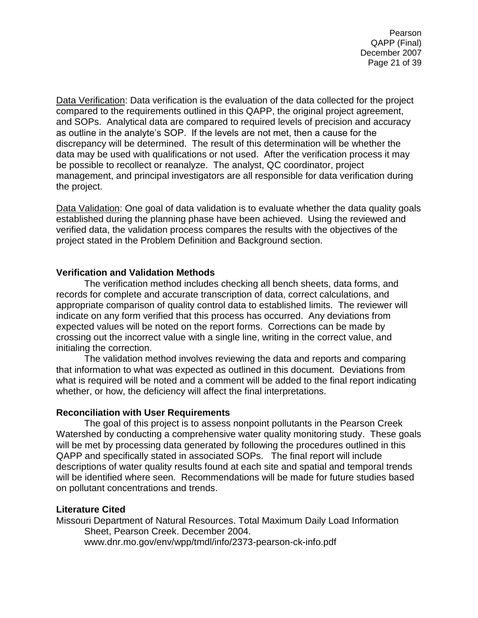Pearson QAPP (Final) December 2007 Page 21 of 39

Data Verification: Data verification is the evaluation of the data collected for the project compared to the requirements outlined in this QAPP, the original project agreement, and SOPs. Analytical data are compared to required levels of precision and accuracy as outline in the analyte's SOP. If the levels are not met, then a cause for the discrepancy will be determined. The result of this determination will be whether the data may be used with qualifications or not used. After the verification process it may be possible to recollect or reanalyze. The analyst, QC coordinator, project management, and principal investigators are all responsible for data verification during the project.

Data Validation: One goal of data validation is to evaluate whether the data quality goals established during the planning phase have been achieved. Using the reviewed and verified data, the validation process compares the results with the objectives of the project stated in the Problem Definition and Background section.

#### <span id="page-20-0"></span>**Verification and Validation Methods**

The verification method includes checking all bench sheets, data forms, and records for complete and accurate transcription of data, correct calculations, and appropriate comparison of quality control data to established limits. The reviewer will indicate on any form verified that this process has occurred. Any deviations from expected values will be noted on the report forms. Corrections can be made by crossing out the incorrect value with a single line, writing in the correct value, and initialing the correction.

The validation method involves reviewing the data and reports and comparing that information to what was expected as outlined in this document. Deviations from what is required will be noted and a comment will be added to the final report indicating whether, or how, the deficiency will affect the final interpretations.

#### <span id="page-20-1"></span>**Reconciliation with User Requirements**

The goal of this project is to assess nonpoint pollutants in the Pearson Creek Watershed by conducting a comprehensive water quality monitoring study. These goals will be met by processing data generated by following the procedures outlined in this QAPP and specifically stated in associated SOPs. The final report will include descriptions of water quality results found at each site and spatial and temporal trends will be identified where seen. Recommendations will be made for future studies based on pollutant concentrations and trends.

#### **Literature Cited**

Missouri Department of Natural Resources. Total Maximum Daily Load Information Sheet, Pearson Creek. December 2004. www.dnr.mo.gov/env/wpp/tmdl/info/2373-pearson-ck-info.pdf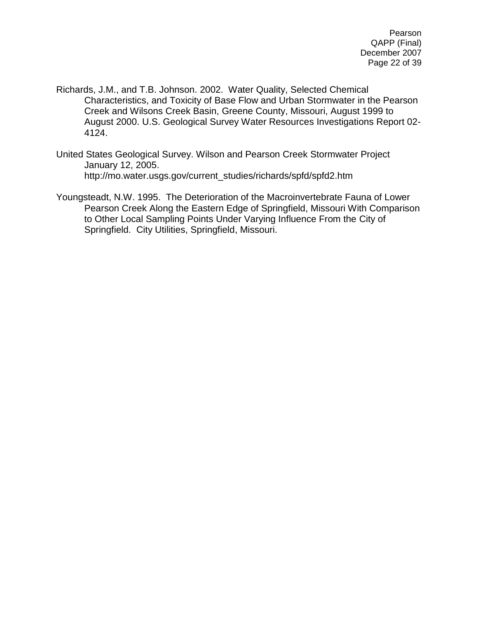- Richards, J.M., and T.B. Johnson. 2002. Water Quality, Selected Chemical Characteristics, and Toxicity of Base Flow and Urban Stormwater in the Pearson Creek and Wilsons Creek Basin, Greene County, Missouri, August 1999 to August 2000. U.S. Geological Survey Water Resources Investigations Report 02- 4124.
- United States Geological Survey. Wilson and Pearson Creek Stormwater Project January 12, 2005. http://mo.water.usgs.gov/current\_studies/richards/spfd/spfd2.htm
- Youngsteadt, N.W. 1995. The Deterioration of the Macroinvertebrate Fauna of Lower Pearson Creek Along the Eastern Edge of Springfield, Missouri With Comparison to Other Local Sampling Points Under Varying Influence From the City of Springfield. City Utilities, Springfield, Missouri.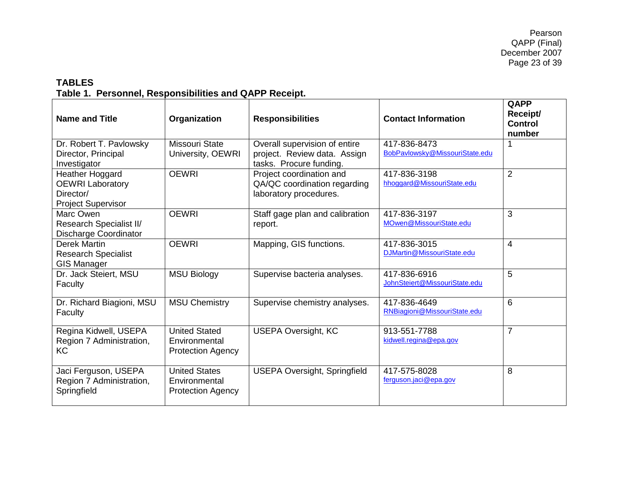# **TABLES Table 1. Personnel, Responsibilities and QAPP Receipt.**

<span id="page-22-1"></span><span id="page-22-0"></span>

| <b>Name and Title</b>                                                                | Organization                                                      | <b>Responsibilities</b>                                                                  | <b>Contact Information</b>                     | QAPP<br>Receipt/<br><b>Control</b><br>number |
|--------------------------------------------------------------------------------------|-------------------------------------------------------------------|------------------------------------------------------------------------------------------|------------------------------------------------|----------------------------------------------|
| Dr. Robert T. Pavlowsky<br>Director, Principal<br>Investigator                       | <b>Missouri State</b><br>University, OEWRI                        | Overall supervision of entire<br>project. Review data. Assign<br>tasks. Procure funding. | 417-836-8473<br>BobPavlowsky@MissouriState.edu |                                              |
| Heather Hoggard<br><b>OEWRI Laboratory</b><br>Director/<br><b>Project Supervisor</b> | <b>OEWRI</b>                                                      | Project coordination and<br>QA/QC coordination regarding<br>laboratory procedures.       | 417-836-3198<br>hhoggard@MissouriState.edu     | $\overline{2}$                               |
| Marc Owen<br>Research Specialist II/<br><b>Discharge Coordinator</b>                 | <b>OEWRI</b>                                                      | Staff gage plan and calibration<br>report.                                               | 417-836-3197<br>MOwen@MissouriState.edu        | 3                                            |
| Derek Martin<br><b>Research Specialist</b><br><b>GIS Manager</b>                     | <b>OEWRI</b>                                                      | Mapping, GIS functions.                                                                  | 417-836-3015<br>DJMartin@MissouriState.edu     | 4                                            |
| Dr. Jack Steiert, MSU<br>Faculty                                                     | <b>MSU Biology</b>                                                | Supervise bacteria analyses.                                                             | 417-836-6916<br>JohnSteiert@MissouriState.edu  | 5                                            |
| Dr. Richard Biagioni, MSU<br>Faculty                                                 | <b>MSU Chemistry</b>                                              | Supervise chemistry analyses.                                                            | 417-836-4649<br>RNBiagioni@MissouriState.edu   | 6                                            |
| Regina Kidwell, USEPA<br>Region 7 Administration,<br>KC                              | <b>United Stated</b><br>Environmental<br><b>Protection Agency</b> | <b>USEPA Oversight, KC</b>                                                               | 913-551-7788<br>kidwell.regina@epa.gov         | $\overline{7}$                               |
| Jaci Ferguson, USEPA<br>Region 7 Administration,<br>Springfield                      | <b>United States</b><br>Environmental<br><b>Protection Agency</b> | <b>USEPA Oversight, Springfield</b>                                                      | 417-575-8028<br>ferguson.jaci@epa.gov          | 8                                            |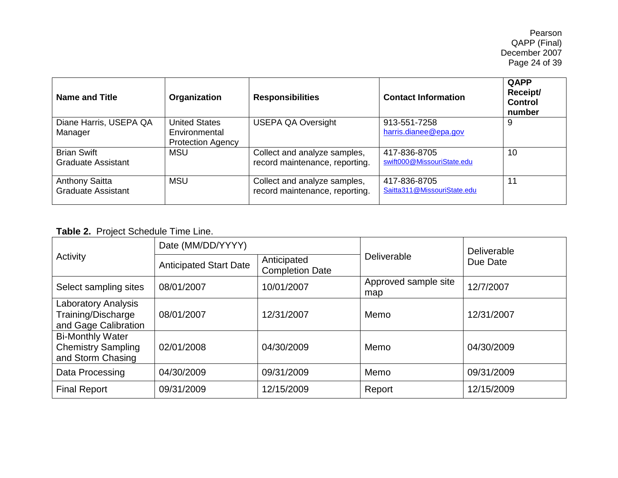Pearson QAPP (Final) December 2007 Page 24 of 39

| <b>Name and Title</b>                              | Organization                                                      | <b>Responsibilities</b>                                        | <b>Contact Information</b>                  | QAPP<br>Receipt/<br><b>Control</b><br>number |
|----------------------------------------------------|-------------------------------------------------------------------|----------------------------------------------------------------|---------------------------------------------|----------------------------------------------|
| Diane Harris, USEPA QA<br>Manager                  | <b>United States</b><br>Environmental<br><b>Protection Agency</b> | <b>USEPA QA Oversight</b>                                      | 913-551-7258<br>harris.dianee@epa.gov       | 9                                            |
| <b>Brian Swift</b><br><b>Graduate Assistant</b>    | <b>MSU</b>                                                        | Collect and analyze samples,<br>record maintenance, reporting. | 417-836-8705<br>swift000@MissouriState.edu  | 10                                           |
| <b>Anthony Saitta</b><br><b>Graduate Assistant</b> | <b>MSU</b>                                                        | Collect and analyze samples,<br>record maintenance, reporting. | 417-836-8705<br>Saitta311@MissouriState.edu | 11                                           |

# **Table 2.** Project Schedule Time Line.

<span id="page-23-0"></span>

| Activity                                                                  | Date (MM/DD/YYYY)             |                                       |                             | Deliverable<br>Due Date |  |
|---------------------------------------------------------------------------|-------------------------------|---------------------------------------|-----------------------------|-------------------------|--|
|                                                                           | <b>Anticipated Start Date</b> | Anticipated<br><b>Completion Date</b> | Deliverable                 |                         |  |
| Select sampling sites                                                     | 08/01/2007                    | 10/01/2007                            | Approved sample site<br>map | 12/7/2007               |  |
| <b>Laboratory Analysis</b><br>Training/Discharge<br>and Gage Calibration  | 08/01/2007                    | 12/31/2007                            | Memo                        | 12/31/2007              |  |
| <b>Bi-Monthly Water</b><br><b>Chemistry Sampling</b><br>and Storm Chasing | 02/01/2008                    | 04/30/2009                            | Memo                        | 04/30/2009              |  |
| Data Processing                                                           | 04/30/2009                    | 09/31/2009                            | Memo                        | 09/31/2009              |  |
| <b>Final Report</b>                                                       | 09/31/2009                    | 12/15/2009                            | Report                      | 12/15/2009              |  |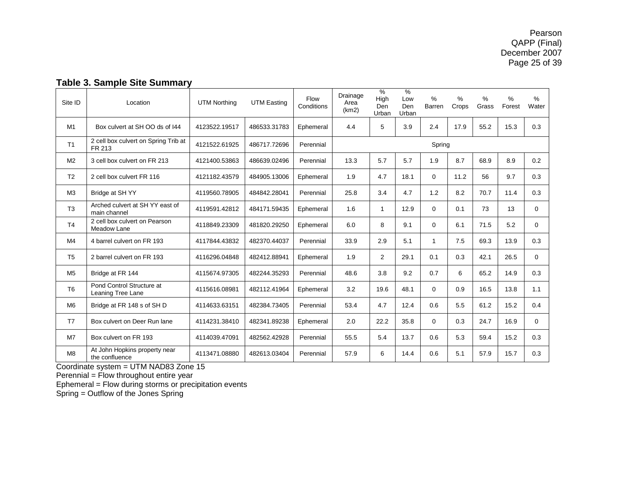<span id="page-24-0"></span>

| Site ID        | Location                                        | <b>UTM Northing</b> | <b>UTM Easting</b> | Flow<br>Conditions | Drainage<br>Area<br>(km2) | $\%$<br>High<br>Den<br>Urban | $\frac{9}{6}$<br>Low<br>Den<br>Urban | $\%$<br>Barren | $\%$<br>Crops | ℅<br>Grass | $\%$<br>Forest | $\%$<br>Water |
|----------------|-------------------------------------------------|---------------------|--------------------|--------------------|---------------------------|------------------------------|--------------------------------------|----------------|---------------|------------|----------------|---------------|
| M1             | Box culvert at SH OO ds of 144                  | 4123522.19517       | 486533.31783       | Ephemeral          | 4.4                       | 5                            | 3.9                                  | 2.4            | 17.9          | 55.2       | 15.3           | 0.3           |
| T1             | 2 cell box culvert on Spring Trib at<br>FR 213  | 4121522.61925       | 486717.72696       | Perennial          |                           |                              |                                      | Spring         |               |            |                |               |
| M <sub>2</sub> | 3 cell box culvert on FR 213                    | 4121400.53863       | 486639.02496       | Perennial          | 13.3                      | 5.7                          | 5.7                                  | 1.9            | 8.7           | 68.9       | 8.9            | 0.2           |
| T <sub>2</sub> | 2 cell box culvert FR 116                       | 4121182.43579       | 484905.13006       | Ephemeral          | 1.9                       | 4.7                          | 18.1                                 | 0              | 11.2          | 56         | 9.7            | 0.3           |
| M3             | Bridge at SH YY                                 | 4119560.78905       | 484842.28041       | Perennial          | 25.8                      | 3.4                          | 4.7                                  | 1.2            | 8.2           | 70.7       | 11.4           | 0.3           |
| T <sub>3</sub> | Arched culvert at SHYY east of<br>main channel  | 4119591.42812       | 484171.59435       | Ephemeral          | 1.6                       | 1                            | 12.9                                 | $\Omega$       | 0.1           | 73         | 13             | $\Omega$      |
| T <sub>4</sub> | 2 cell box culvert on Pearson<br>Meadow Lane    | 4118849.23309       | 481820.29250       | Ephemeral          | 6.0                       | 8                            | 9.1                                  | $\Omega$       | 6.1           | 71.5       | 5.2            | $\Omega$      |
| M4             | 4 barrel culvert on FR 193                      | 4117844.43832       | 482370.44037       | Perennial          | 33.9                      | 2.9                          | 5.1                                  | $\mathbf{1}$   | 7.5           | 69.3       | 13.9           | 0.3           |
| T <sub>5</sub> | 2 barrel culvert on FR 193                      | 4116296.04848       | 482412.88941       | Ephemeral          | 1.9                       | $\overline{2}$               | 29.1                                 | 0.1            | 0.3           | 42.1       | 26.5           | $\Omega$      |
| M <sub>5</sub> | Bridge at FR 144                                | 4115674.97305       | 482244.35293       | Perennial          | 48.6                      | 3.8                          | 9.2                                  | 0.7            | 6             | 65.2       | 14.9           | 0.3           |
| T <sub>6</sub> | Pond Control Structure at<br>Leaning Tree Lane  | 4115616.08981       | 482112.41964       | Ephemeral          | 3.2                       | 19.6                         | 48.1                                 | $\Omega$       | 0.9           | 16.5       | 13.8           | 1.1           |
| M <sub>6</sub> | Bridge at FR 148 s of SH D                      | 4114633.63151       | 482384.73405       | Perennial          | 53.4                      | 4.7                          | 12.4                                 | 0.6            | 5.5           | 61.2       | 15.2           | 0.4           |
| T7             | Box culvert on Deer Run lane                    | 4114231.38410       | 482341.89238       | Ephemeral          | 2.0                       | 22.2                         | 35.8                                 | $\mathbf 0$    | 0.3           | 24.7       | 16.9           | $\mathbf 0$   |
| M <sub>7</sub> | Box culvert on FR 193                           | 4114039.47091       | 482562.42928       | Perennial          | 55.5                      | 5.4                          | 13.7                                 | 0.6            | 5.3           | 59.4       | 15.2           | 0.3           |
| M8             | At John Hopkins property near<br>the confluence | 4113471.08880       | 482613.03404       | Perennial          | 57.9                      | 6                            | 14.4                                 | 0.6            | 5.1           | 57.9       | 15.7           | 0.3           |

# **Table 3. Sample Site Summary**

Coordinate system = UTM NAD83 Zone 15

Perennial = Flow throughout entire year

Ephemeral = Flow during storms or precipitation events

Spring = Outflow of the Jones Spring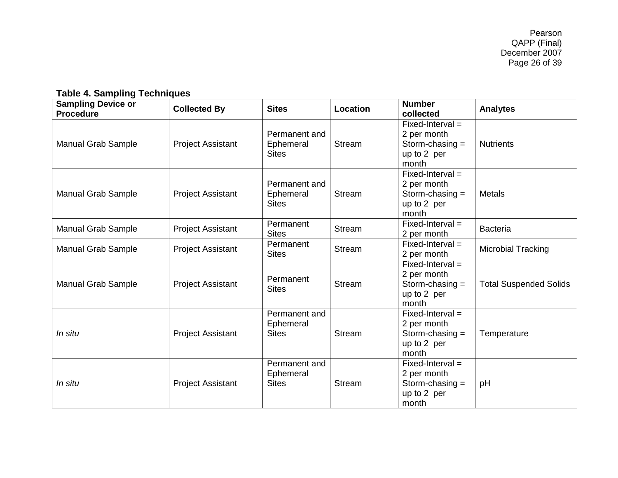# **Table 4. Sampling Techniques**

<span id="page-25-0"></span>

| <b>Sampling Device or</b><br><b>Procedure</b> | <b>Collected By</b>      | <b>Sites</b>                               | Location      | <b>Number</b><br>collected                                                     | <b>Analytes</b>               |
|-----------------------------------------------|--------------------------|--------------------------------------------|---------------|--------------------------------------------------------------------------------|-------------------------------|
| <b>Manual Grab Sample</b>                     | <b>Project Assistant</b> | Permanent and<br>Ephemeral<br><b>Sites</b> | Stream        | $Fixed-Interval =$<br>2 per month<br>Storm-chasing $=$<br>up to 2 per<br>month | <b>Nutrients</b>              |
| <b>Manual Grab Sample</b>                     | <b>Project Assistant</b> | Permanent and<br>Ephemeral<br><b>Sites</b> | <b>Stream</b> | $Fixed-Interval =$<br>2 per month<br>Storm-chasing $=$<br>up to 2 per<br>month | <b>Metals</b>                 |
| <b>Manual Grab Sample</b>                     | <b>Project Assistant</b> | Permanent<br><b>Sites</b>                  | <b>Stream</b> | $Fixed-Interval =$<br>2 per month                                              | <b>Bacteria</b>               |
| <b>Manual Grab Sample</b>                     | <b>Project Assistant</b> | Permanent<br><b>Sites</b>                  | <b>Stream</b> | $Fixed-Interval =$<br>2 per month                                              | Microbial Tracking            |
| <b>Manual Grab Sample</b>                     | <b>Project Assistant</b> | Permanent<br><b>Sites</b>                  | <b>Stream</b> | $Fixed-Interval =$<br>2 per month<br>Storm-chasing $=$<br>up to 2 per<br>month | <b>Total Suspended Solids</b> |
| In situ                                       | <b>Project Assistant</b> | Permanent and<br>Ephemeral<br><b>Sites</b> | <b>Stream</b> | $Fixed-Interval =$<br>2 per month<br>Storm-chasing $=$<br>up to 2 per<br>month | Temperature                   |
| In situ                                       | <b>Project Assistant</b> | Permanent and<br>Ephemeral<br><b>Sites</b> | <b>Stream</b> | $Fixed-Interval =$<br>2 per month<br>Storm-chasing $=$<br>up to 2 per<br>month | pH                            |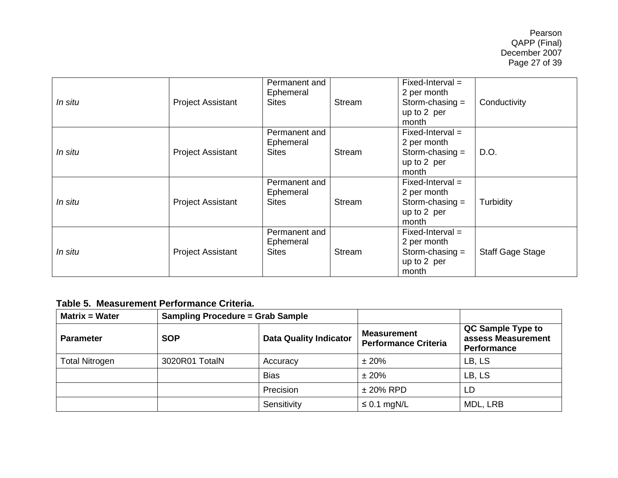| In situ | <b>Project Assistant</b> | Permanent and<br>Ephemeral<br>Sites        | Stream        | $Fixed-Interval =$<br>2 per month<br>Storm-chasing $=$<br>up to 2 per<br>month | Conductivity            |
|---------|--------------------------|--------------------------------------------|---------------|--------------------------------------------------------------------------------|-------------------------|
| In situ | <b>Project Assistant</b> | Permanent and<br>Ephemeral<br><b>Sites</b> | <b>Stream</b> | $Fixed-Interval =$<br>2 per month<br>Storm-chasing $=$<br>up to 2 per<br>month | D.O.                    |
| In situ | <b>Project Assistant</b> | Permanent and<br>Ephemeral<br><b>Sites</b> | Stream        | $Fixed-Interval =$<br>2 per month<br>Storm-chasing $=$<br>up to 2 per<br>month | Turbidity               |
| In situ | <b>Project Assistant</b> | Permanent and<br>Ephemeral<br><b>Sites</b> | Stream        | $Fixed-Interval =$<br>2 per month<br>Storm-chasing $=$<br>up to 2 per<br>month | <b>Staff Gage Stage</b> |

# **Table 5. Measurement Performance Criteria.**

<span id="page-26-0"></span>

| <b>Matrix = Water</b> | <b>Sampling Procedure = Grab Sample</b> |                               |                                                   |                                                        |
|-----------------------|-----------------------------------------|-------------------------------|---------------------------------------------------|--------------------------------------------------------|
| <b>Parameter</b>      | <b>SOP</b>                              | <b>Data Quality Indicator</b> | <b>Measurement</b><br><b>Performance Criteria</b> | QC Sample Type to<br>assess Measurement<br>Performance |
| <b>Total Nitrogen</b> | 3020R01 TotalN                          | Accuracy                      | ±20%                                              | LB, LS                                                 |
|                       |                                         | <b>Bias</b>                   | ±20%                                              | LB, LS                                                 |
|                       |                                         | Precision                     | $± 20\%$ RPD                                      | LD                                                     |
|                       |                                         | Sensitivity                   | $\leq$ 0.1 mgN/L                                  | MDL, LRB                                               |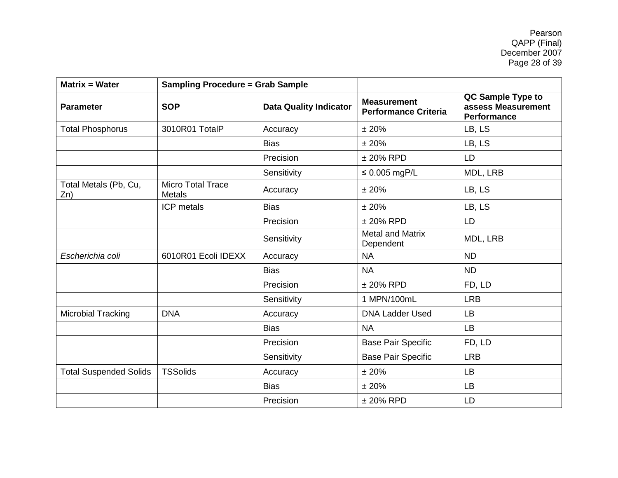Pearson QAPP (Final) December 2007 Page 28 of 39

| <b>Matrix = Water</b>         | <b>Sampling Procedure = Grab Sample</b>     |             |                                                   |                                                               |
|-------------------------------|---------------------------------------------|-------------|---------------------------------------------------|---------------------------------------------------------------|
| <b>Parameter</b>              | <b>Data Quality Indicator</b><br><b>SOP</b> |             | <b>Measurement</b><br><b>Performance Criteria</b> | QC Sample Type to<br>assess Measurement<br><b>Performance</b> |
| <b>Total Phosphorus</b>       | 3010R01 TotalP                              | Accuracy    | ±20%                                              | LB, LS                                                        |
|                               |                                             | <b>Bias</b> | ± 20%                                             | LB, LS                                                        |
|                               |                                             | Precision   | $± 20\%$ RPD                                      | <b>LD</b>                                                     |
|                               |                                             | Sensitivity | $\leq$ 0.005 mgP/L                                | MDL, LRB                                                      |
| Total Metals (Pb, Cu,<br>Zn)  | <b>Micro Total Trace</b><br><b>Metals</b>   | Accuracy    | ±20%                                              | LB, LS                                                        |
|                               | ICP metals                                  | <b>Bias</b> | ±20%                                              | LB, LS                                                        |
|                               |                                             | Precision   | $± 20\%$ RPD                                      | LD                                                            |
|                               |                                             | Sensitivity | <b>Metal and Matrix</b><br>Dependent              | MDL, LRB                                                      |
| Escherichia coli              | 6010R01 Ecoli IDEXX                         | Accuracy    | <b>NA</b>                                         | <b>ND</b>                                                     |
|                               |                                             | <b>Bias</b> | <b>NA</b>                                         | <b>ND</b>                                                     |
|                               |                                             | Precision   | $± 20\%$ RPD                                      | FD, LD                                                        |
|                               |                                             | Sensitivity | 1 MPN/100mL                                       | <b>LRB</b>                                                    |
| Microbial Tracking            | <b>DNA</b>                                  | Accuracy    | <b>DNA Ladder Used</b>                            | <b>LB</b>                                                     |
|                               |                                             | <b>Bias</b> | <b>NA</b>                                         | <b>LB</b>                                                     |
|                               |                                             | Precision   | <b>Base Pair Specific</b>                         | FD, LD                                                        |
|                               |                                             | Sensitivity | <b>Base Pair Specific</b>                         | <b>LRB</b>                                                    |
| <b>Total Suspended Solids</b> | <b>TSSolids</b>                             | Accuracy    | ±20%                                              | LB                                                            |
|                               |                                             | <b>Bias</b> | ±20%                                              | <b>LB</b>                                                     |
|                               |                                             | Precision   | $± 20\%$ RPD                                      | LD                                                            |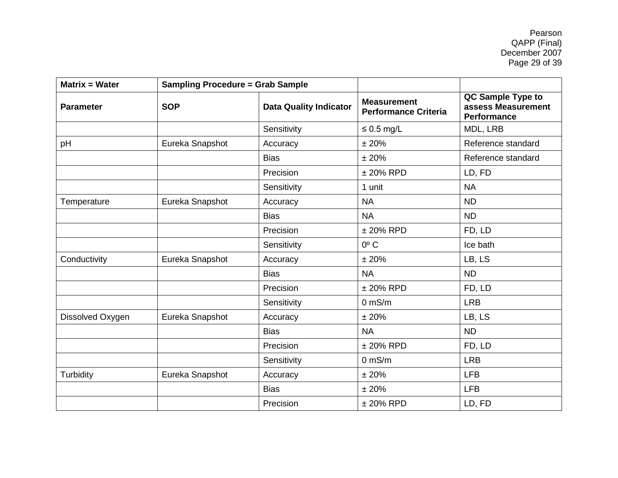Pearson QAPP (Final) December 2007 Page 29 of 39

| <b>Sampling Procedure = Grab Sample</b><br><b>Matrix = Water</b> |                 |                               |                                                   |                                                               |
|------------------------------------------------------------------|-----------------|-------------------------------|---------------------------------------------------|---------------------------------------------------------------|
| <b>Parameter</b>                                                 | <b>SOP</b>      | <b>Data Quality Indicator</b> | <b>Measurement</b><br><b>Performance Criteria</b> | QC Sample Type to<br>assess Measurement<br><b>Performance</b> |
|                                                                  |                 | Sensitivity                   | $\leq 0.5$ mg/L                                   | MDL, LRB                                                      |
| pH                                                               | Eureka Snapshot | Accuracy                      | ± 20%                                             | Reference standard                                            |
|                                                                  |                 | <b>Bias</b>                   | ±20%                                              | Reference standard                                            |
|                                                                  |                 | Precision                     | $± 20\%$ RPD                                      | LD, FD                                                        |
|                                                                  |                 | Sensitivity                   | 1 unit                                            | <b>NA</b>                                                     |
| Temperature                                                      | Eureka Snapshot | Accuracy                      | <b>NA</b>                                         | <b>ND</b>                                                     |
|                                                                  |                 | <b>Bias</b>                   | <b>NA</b>                                         | <b>ND</b>                                                     |
|                                                                  |                 | Precision                     | $± 20\%$ RPD                                      | FD, LD                                                        |
|                                                                  |                 | Sensitivity                   | $0^{\circ}$ C                                     | Ice bath                                                      |
| Conductivity                                                     | Eureka Snapshot | Accuracy                      | ±20%                                              | LB, LS                                                        |
|                                                                  |                 | <b>Bias</b>                   | <b>NA</b>                                         | <b>ND</b>                                                     |
|                                                                  |                 | Precision                     | $± 20\%$ RPD                                      | FD, LD                                                        |
|                                                                  |                 | Sensitivity                   | $0$ mS/m                                          | <b>LRB</b>                                                    |
| Dissolved Oxygen                                                 | Eureka Snapshot | Accuracy                      | ± 20%                                             | LB, LS                                                        |
|                                                                  |                 | <b>Bias</b>                   | <b>NA</b>                                         | <b>ND</b>                                                     |
|                                                                  |                 | Precision                     | $± 20\%$ RPD                                      | FD, LD                                                        |
|                                                                  |                 | Sensitivity                   | $0$ mS/m                                          | <b>LRB</b>                                                    |
| Turbidity                                                        | Eureka Snapshot | Accuracy                      | ± 20%                                             | <b>LFB</b>                                                    |
|                                                                  |                 | <b>Bias</b>                   | ±20%                                              | <b>LFB</b>                                                    |
|                                                                  |                 | Precision                     | $± 20\%$ RPD                                      | LD, FD                                                        |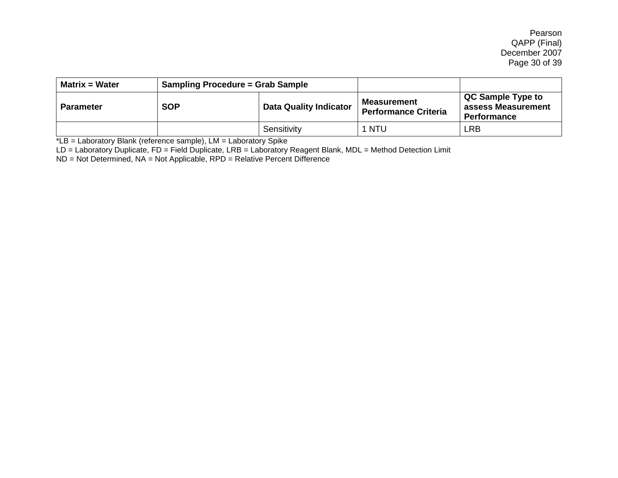Pearson QAPP (Final) December 2007 Page 30 of 39

| <b>Matrix = Water</b> | <b>Sampling Procedure = Grab Sample</b> |                               |                                                   |                                                               |
|-----------------------|-----------------------------------------|-------------------------------|---------------------------------------------------|---------------------------------------------------------------|
| <b>Parameter</b>      | <b>SOP</b>                              | <b>Data Quality Indicator</b> | <b>Measurement</b><br><b>Performance Criteria</b> | QC Sample Type to<br>assess Measurement<br><b>Performance</b> |
|                       |                                         | Sensitivity                   | 1 NTU                                             | ∟RB                                                           |

\*LB = Laboratory Blank (reference sample), LM = Laboratory Spike

LD = Laboratory Duplicate, FD = Field Duplicate, LRB = Laboratory Reagent Blank, MDL = Method Detection Limit

ND = Not Determined, NA = Not Applicable, RPD = Relative Percent Difference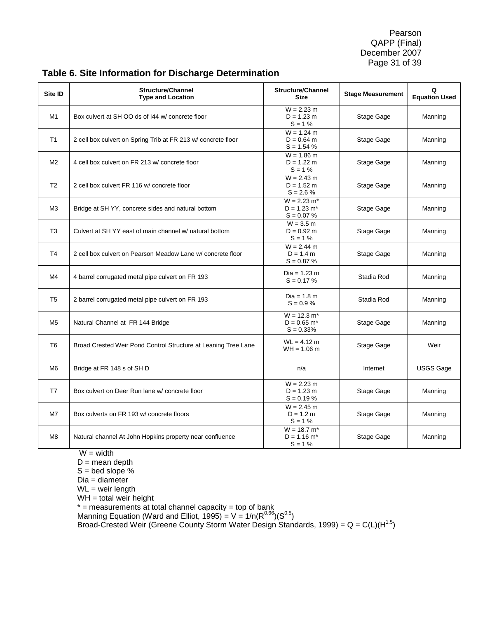Pearson QAPP (Final) December 2007 Page 31 of 39

| Site ID        | <b>Structure/Channel</b><br><b>Type and Location</b>           | <b>Structure/Channel</b><br><b>Size</b>                    | <b>Stage Measurement</b> | Q<br><b>Equation Used</b> |
|----------------|----------------------------------------------------------------|------------------------------------------------------------|--------------------------|---------------------------|
| M1             | Box culvert at SH OO ds of 144 w/ concrete floor               | $W = 2.23 m$<br>$D = 1.23 m$<br>$S = 1%$                   | Stage Gage               | Manning                   |
| T <sub>1</sub> | 2 cell box culvert on Spring Trib at FR 213 w/ concrete floor  | $W = 1.24 m$<br>$D = 0.64$ m<br>$S = 1.54 %$               | Stage Gage               | Manning                   |
| M <sub>2</sub> | 4 cell box culvert on FR 213 w/ concrete floor                 | $W = 1.86 m$<br>$D = 1.22 m$<br>$S = 1%$                   | Stage Gage               | Manning                   |
| T <sub>2</sub> | 2 cell box culvert FR 116 w/ concrete floor                    | $W = 2.43 m$<br>$D = 1.52 m$<br>$S = 2.6 %$                | Stage Gage               | Manning                   |
| M3             | Bridge at SH YY, concrete sides and natural bottom             | $W = 2.23 m*$<br>$D = 1.23$ m <sup>*</sup><br>$S = 0.07 %$ | Stage Gage               | Manning                   |
| T <sub>3</sub> | Culvert at SH YY east of main channel w/ natural bottom        | $W = 3.5 m$<br>$D = 0.92$ m<br>$S = 1%$                    | Stage Gage               | Manning                   |
| T <sub>4</sub> | 2 cell box culvert on Pearson Meadow Lane w/ concrete floor    | $W = 2.44$ m<br>$D = 1.4 m$<br>$S = 0.87 %$                | Stage Gage               | Manning                   |
| M4             | 4 barrel corrugated metal pipe culvert on FR 193               | Dia = 1.23 m<br>$S = 0.17 %$                               | Stadia Rod               | Manning                   |
| T <sub>5</sub> | 2 barrel corrugated metal pipe culvert on FR 193               | $Dia = 1.8 m$<br>$S = 0.9 %$                               | Stadia Rod               | Manning                   |
| M <sub>5</sub> | Natural Channel at FR 144 Bridge                               | $W = 12.3 m*$<br>$D = 0.65$ m <sup>*</sup><br>$S = 0.33%$  | Stage Gage               | Manning                   |
| T <sub>6</sub> | Broad Crested Weir Pond Control Structure at Leaning Tree Lane | $WL = 4.12 m$<br>$WH = 1.06 m$                             | Stage Gage               | Weir                      |
| M <sub>6</sub> | Bridge at FR 148 s of SH D                                     | n/a                                                        | Internet                 | <b>USGS Gage</b>          |
| T7             | Box culvert on Deer Run lane w/ concrete floor                 | $W = 2.23 m$<br>$D = 1.23 m$<br>$S = 0.19 %$               | Stage Gage               | Manning                   |
| M7             | Box culverts on FR 193 w/ concrete floors                      | $W = 2.45 m$<br>$D = 1.2 m$<br>$S = 1%$                    | Stage Gage               | Manning                   |
| M8             | Natural channel At John Hopkins property near confluence       | $W = 18.7 m*$<br>$D = 1.16$ m <sup>*</sup><br>$S = 1%$     | Stage Gage               | Manning                   |

# **Table 6. Site Information for Discharge Determination**

 $W = width$ 

 $D$  = mean depth

 $S =$  bed slope %

Dia = diameter

WL = weir length

 $WH =$  total weir height

\* = measurements at total channel capacity = top of bank

Manning Equation (Ward and Elliot, 1995) = V = 1/n( $R^{0.66}$ )( $S^{0.5}$ )

Broad-Crested Weir (Greene County Storm Water Design Standards, 1999) = Q = C(L)(H<sup>1.5</sup>)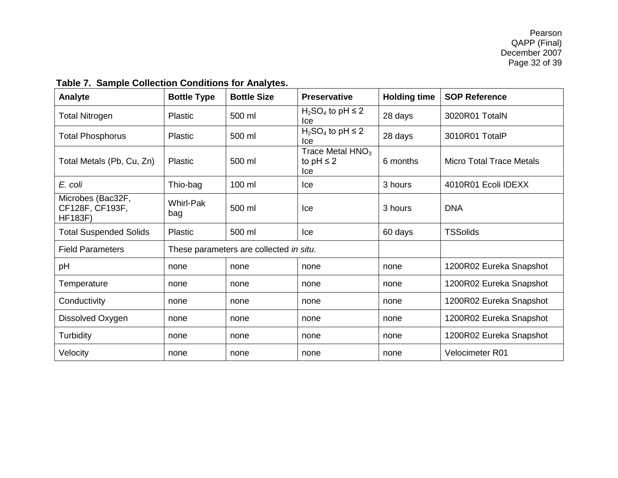<span id="page-31-0"></span>

| rable r. Sample Collection Conditions for Analytes.    |                         |                                         |                                             |                     |                          |  |
|--------------------------------------------------------|-------------------------|-----------------------------------------|---------------------------------------------|---------------------|--------------------------|--|
| Analyte                                                | <b>Bottle Type</b>      | <b>Bottle Size</b>                      | <b>Preservative</b>                         | <b>Holding time</b> | <b>SOP Reference</b>     |  |
| <b>Total Nitrogen</b>                                  | Plastic                 | 500 ml                                  | $H_2SO_4$ to pH $\leq$ 2<br>Ice             | 28 days             | 3020R01 TotalN           |  |
| <b>Total Phosphorus</b>                                | Plastic                 | 500 ml                                  | $H_2SO_4$ to pH $\leq$ 2<br>Ice             | 28 days             | 3010R01 TotalP           |  |
| Total Metals (Pb, Cu, Zn)                              | Plastic                 | 500 ml                                  | Trace Metal $HNO3$<br>to $pH \leq 2$<br>lce | 6 months            | Micro Total Trace Metals |  |
| E. coli                                                | Thio-bag                | 100 ml                                  | Ice                                         | 3 hours             | 4010R01 Ecoli IDEXX      |  |
| Microbes (Bac32F,<br>CF128F, CF193F,<br><b>HF183F)</b> | <b>Whirl-Pak</b><br>bag | 500 ml                                  | lce                                         | 3 hours             | <b>DNA</b>               |  |
| <b>Total Suspended Solids</b>                          | Plastic                 | 500 ml                                  | lce                                         | 60 days             | <b>TSSolids</b>          |  |
| <b>Field Parameters</b>                                |                         | These parameters are collected in situ. |                                             |                     |                          |  |
| pH                                                     | none                    | none                                    | none                                        | none                | 1200R02 Eureka Snapshot  |  |
| Temperature                                            | none                    | none                                    | none                                        | none                | 1200R02 Eureka Snapshot  |  |
| Conductivity                                           | none                    | none                                    | none                                        | none                | 1200R02 Eureka Snapshot  |  |
| Dissolved Oxygen                                       | none                    | none                                    | none                                        | none                | 1200R02 Eureka Snapshot  |  |
| <b>Turbidity</b>                                       | none                    | none                                    | none                                        | none                | 1200R02 Eureka Snapshot  |  |
| Velocity                                               | none                    | none                                    | none                                        | none                | Velocimeter R01          |  |

# **Table 7. Sample Collection Conditions for Analytes.**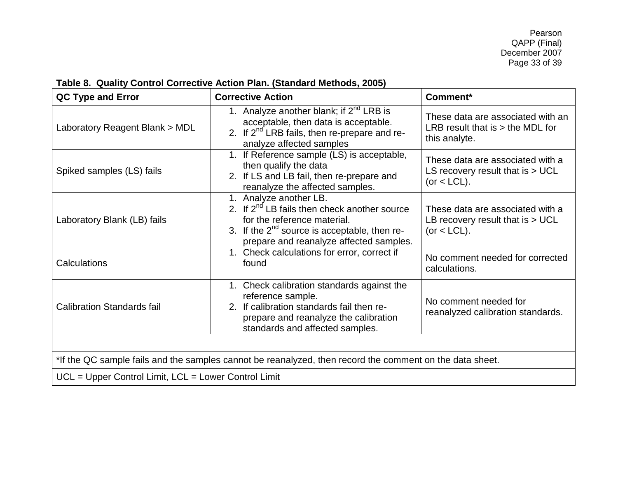| Table 8. Quality Control Corrective Action Plan. (Standard Methods, 2005) |
|---------------------------------------------------------------------------|
|---------------------------------------------------------------------------|

<span id="page-32-0"></span>

| QC Type and Error                                                                                        | <b>Corrective Action</b>                                                                                                                                                                                   | Comment*                                                                                 |  |  |
|----------------------------------------------------------------------------------------------------------|------------------------------------------------------------------------------------------------------------------------------------------------------------------------------------------------------------|------------------------------------------------------------------------------------------|--|--|
| Laboratory Reagent Blank > MDL                                                                           | 1. Analyze another blank; if $2^{nd}$ LRB is<br>acceptable, then data is acceptable.<br>2. If 2 <sup>nd</sup> LRB fails, then re-prepare and re-<br>analyze affected samples                               | These data are associated with an<br>LRB result that is $>$ the MDL for<br>this analyte. |  |  |
| Spiked samples (LS) fails                                                                                | 1. If Reference sample (LS) is acceptable,<br>then qualify the data<br>2. If LS and LB fail, then re-prepare and<br>reanalyze the affected samples.                                                        | These data are associated with a<br>LS recovery result that is $> UCL$<br>(or $<$ LCL).  |  |  |
| Laboratory Blank (LB) fails                                                                              | 1. Analyze another LB.<br>2. If $2^{nd}$ LB fails then check another source<br>for the reference material.<br>3. If the $2^{nd}$ source is acceptable, then re-<br>prepare and reanalyze affected samples. | These data are associated with a<br>LB recovery result that is $> UCL$<br>$(or < LCL)$ . |  |  |
| Calculations                                                                                             | 1. Check calculations for error, correct if<br>found                                                                                                                                                       | No comment needed for corrected<br>calculations.                                         |  |  |
| <b>Calibration Standards fail</b>                                                                        | 1. Check calibration standards against the<br>reference sample.<br>2. If calibration standards fail then re-<br>prepare and reanalyze the calibration<br>standards and affected samples.                   | No comment needed for<br>reanalyzed calibration standards.                               |  |  |
|                                                                                                          |                                                                                                                                                                                                            |                                                                                          |  |  |
| *If the QC sample fails and the samples cannot be reanalyzed, then record the comment on the data sheet. |                                                                                                                                                                                                            |                                                                                          |  |  |
| UCL = Upper Control Limit, LCL = Lower Control Limit                                                     |                                                                                                                                                                                                            |                                                                                          |  |  |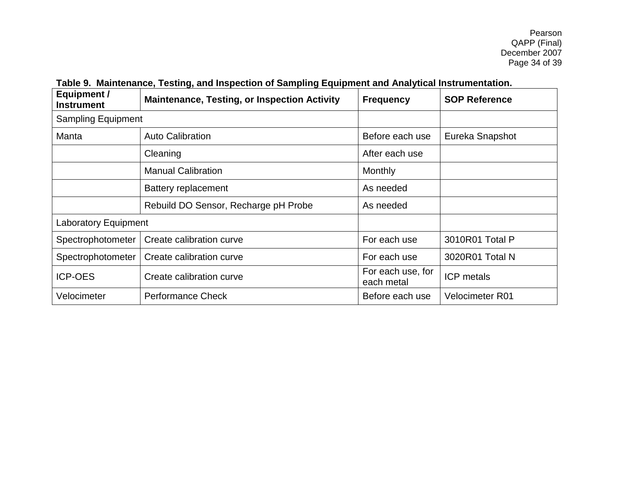<span id="page-33-0"></span>

| <b>Equipment /</b><br><b>Instrument</b> | <b>Maintenance, Testing, or Inspection Activity</b> | <b>Frequency</b>                | <b>SOP Reference</b>   |
|-----------------------------------------|-----------------------------------------------------|---------------------------------|------------------------|
| <b>Sampling Equipment</b>               |                                                     |                                 |                        |
| Manta                                   | <b>Auto Calibration</b>                             | Before each use                 | Eureka Snapshot        |
|                                         | Cleaning                                            | After each use                  |                        |
|                                         | <b>Manual Calibration</b>                           | Monthly                         |                        |
|                                         | <b>Battery replacement</b>                          | As needed                       |                        |
|                                         | Rebuild DO Sensor, Recharge pH Probe                | As needed                       |                        |
| <b>Laboratory Equipment</b>             |                                                     |                                 |                        |
| Spectrophotometer                       | Create calibration curve                            | For each use                    | 3010R01 Total P        |
| Spectrophotometer                       | Create calibration curve                            | For each use                    | 3020R01 Total N        |
| <b>ICP-OES</b>                          | Create calibration curve                            | For each use, for<br>each metal | <b>ICP</b> metals      |
| Velocimeter                             | <b>Performance Check</b>                            | Before each use                 | <b>Velocimeter R01</b> |

# **Table 9. Maintenance, Testing, and Inspection of Sampling Equipment and Analytical Instrumentation.**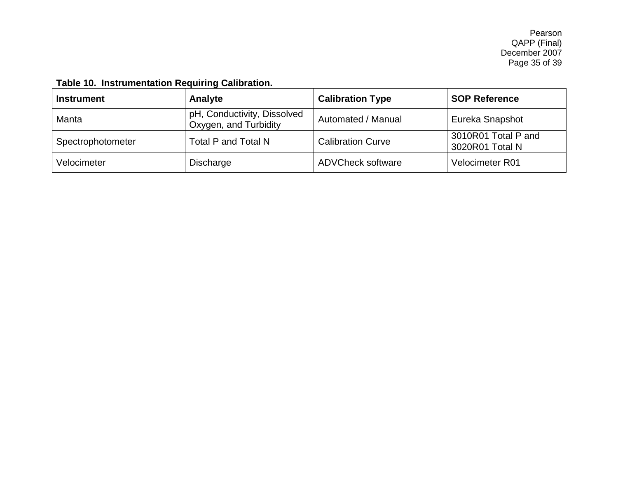# **Table 10. Instrumentation Requiring Calibration.**

<span id="page-34-0"></span>

| <b>Instrument</b> | Analyte                                              | <b>Calibration Type</b>  | <b>SOP Reference</b>                   |
|-------------------|------------------------------------------------------|--------------------------|----------------------------------------|
| Manta             | pH, Conductivity, Dissolved<br>Oxygen, and Turbidity | Automated / Manual       | Eureka Snapshot                        |
| Spectrophotometer | Total P and Total N                                  | <b>Calibration Curve</b> | 3010R01 Total P and<br>3020R01 Total N |
| Velocimeter       | Discharge                                            | <b>ADVCheck software</b> | Velocimeter R01                        |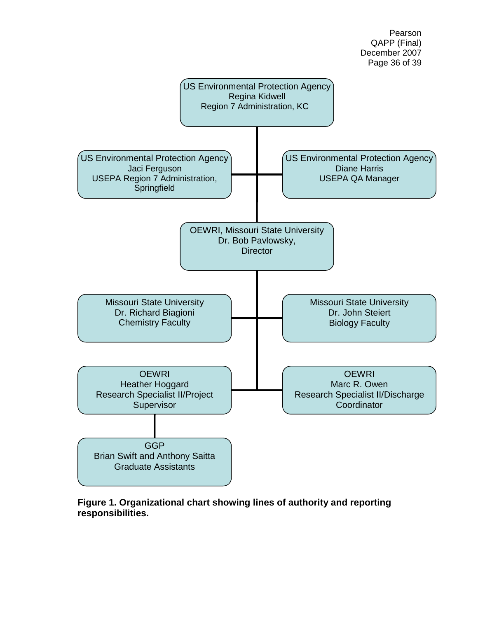

Pearson

<span id="page-35-0"></span>**Figure 1. Organizational chart showing lines of authority and reporting responsibilities.**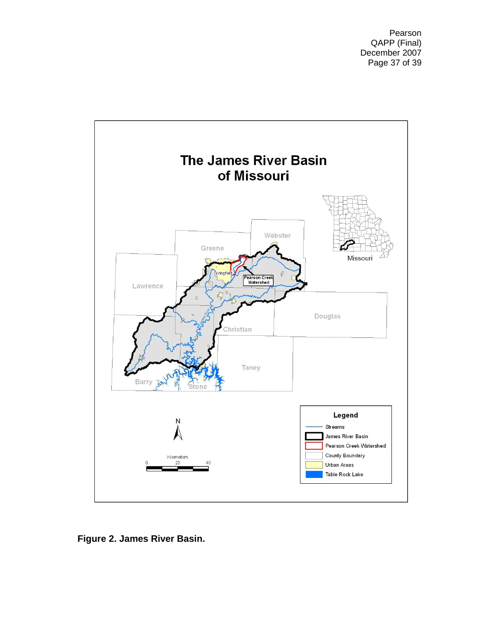Pearson QAPP (Final) December 2007 Page 37 of 39

<span id="page-36-0"></span>

**Figure 2. James River Basin.**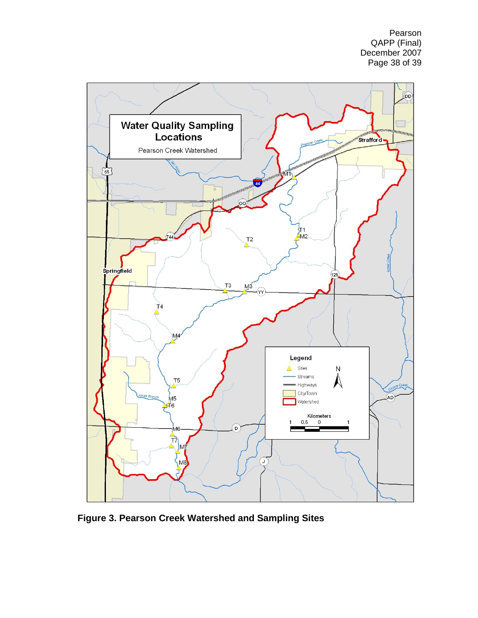Pearson QAPP (Final) December 2007 Page 38 of 39



<span id="page-37-0"></span>**Figure 3. Pearson Creek Watershed and Sampling Sites**